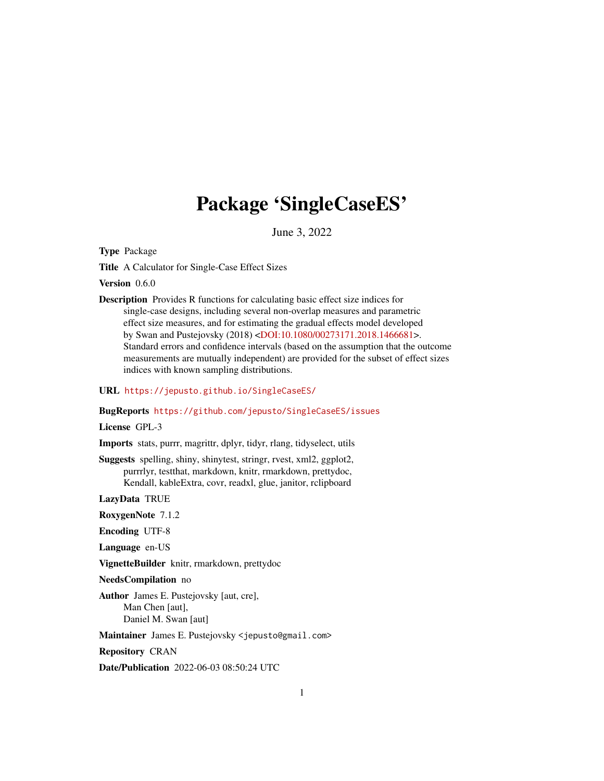# Package 'SingleCaseES'

June 3, 2022

<span id="page-0-0"></span>Type Package

Title A Calculator for Single-Case Effect Sizes

Version 0.6.0

Description Provides R functions for calculating basic effect size indices for single-case designs, including several non-overlap measures and parametric effect size measures, and for estimating the gradual effects model developed by Swan and Pustejovsky (2018) [<DOI:10.1080/00273171.2018.1466681>](https://doi.org/10.1080/00273171.2018.1466681). Standard errors and confidence intervals (based on the assumption that the outcome measurements are mutually independent) are provided for the subset of effect sizes indices with known sampling distributions.

URL <https://jepusto.github.io/SingleCaseES/>

#### BugReports <https://github.com/jepusto/SingleCaseES/issues>

License GPL-3

Imports stats, purrr, magrittr, dplyr, tidyr, rlang, tidyselect, utils

Suggests spelling, shiny, shinytest, stringr, rvest, xml2, ggplot2, purrrlyr, testthat, markdown, knitr, rmarkdown, prettydoc, Kendall, kableExtra, covr, readxl, glue, janitor, rclipboard

LazyData TRUE

RoxygenNote 7.1.2

Encoding UTF-8

Language en-US

VignetteBuilder knitr, rmarkdown, prettydoc

NeedsCompilation no

Author James E. Pustejovsky [aut, cre], Man Chen [aut], Daniel M. Swan [aut]

Maintainer James E. Pustejovsky <jepusto@gmail.com>

Repository CRAN

Date/Publication 2022-06-03 08:50:24 UTC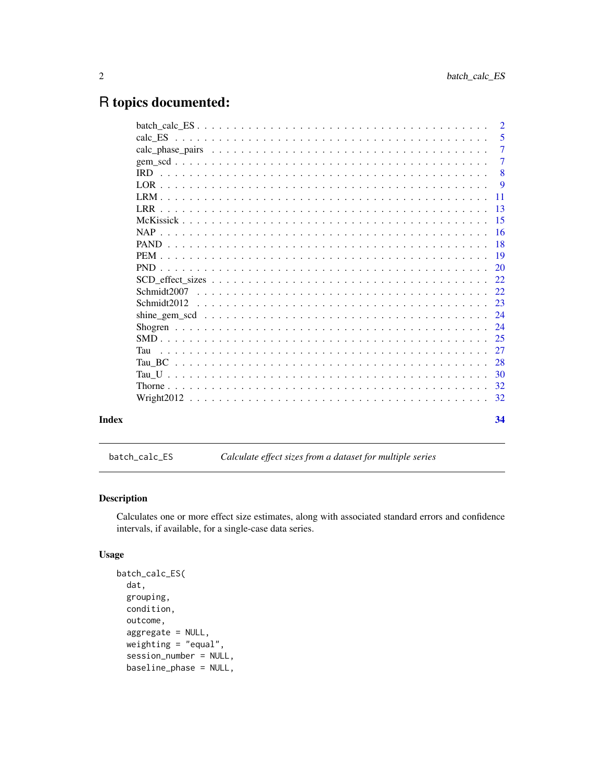# <span id="page-1-0"></span>R topics documented:

|       |            | $\overline{2}$ |
|-------|------------|----------------|
|       |            | 5              |
|       |            | $\overline{7}$ |
|       |            | $\overline{7}$ |
|       |            | 8              |
|       |            | -9             |
|       |            | 11             |
|       | LRR.       | 13             |
|       |            | 15             |
|       | <b>NAP</b> | -16            |
|       |            | 18             |
|       |            | -19            |
|       |            | 20             |
|       |            | 22             |
|       |            | 22.            |
|       |            | 23             |
|       |            | 24             |
|       |            | 24             |
|       |            | 25             |
|       | Tau        | 27             |
|       | Tau BC     | 28             |
|       |            | -30            |
|       |            | 32             |
|       |            | 32             |
| Index |            | 34             |

batch\_calc\_ES *Calculate effect sizes from a dataset for multiple series*

# Description

Calculates one or more effect size estimates, along with associated standard errors and confidence intervals, if available, for a single-case data series.

```
batch_calc_ES(
  dat,
 grouping,
 condition,
  outcome,
  aggregate = NULL,
  weighting = "equal",
  session_number = NULL,
  baseline_phase = NULL,
```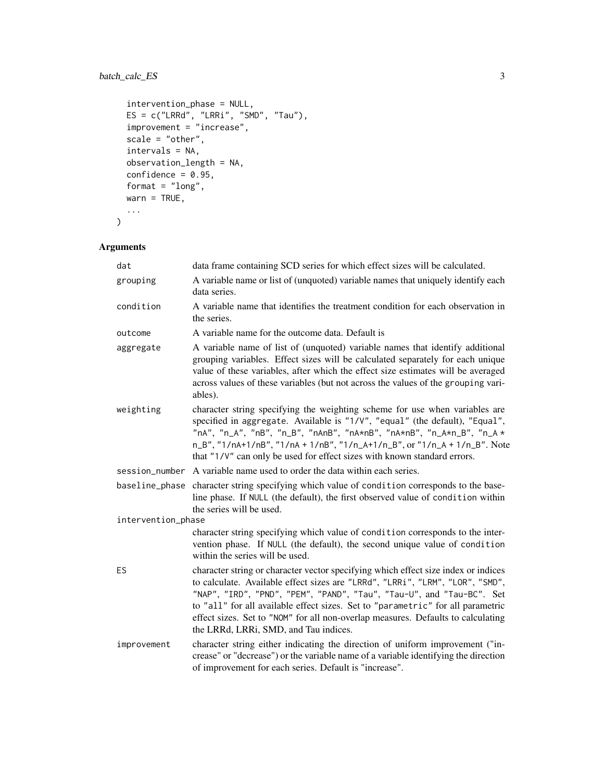# batch\_calc\_ES 3

```
intervention_phase = NULL,
 ES = c("LRRd", "LRRi", "SMD", "Tau"),improvement = "increase",
 scale = "other",
 intervals = NA,
 observation_length = NA,
 confidence = 0.95,
 format = "long",
 wan = TRUE,...
)
```
# Arguments

| dat                | data frame containing SCD series for which effect sizes will be calculated.                                                                                                                                                                                                                                                                                                                                                                                  |
|--------------------|--------------------------------------------------------------------------------------------------------------------------------------------------------------------------------------------------------------------------------------------------------------------------------------------------------------------------------------------------------------------------------------------------------------------------------------------------------------|
| grouping           | A variable name or list of (unquoted) variable names that uniquely identify each<br>data series.                                                                                                                                                                                                                                                                                                                                                             |
| condition          | A variable name that identifies the treatment condition for each observation in<br>the series.                                                                                                                                                                                                                                                                                                                                                               |
| outcome            | A variable name for the outcome data. Default is                                                                                                                                                                                                                                                                                                                                                                                                             |
| aggregate          | A variable name of list of (unquoted) variable names that identify additional<br>grouping variables. Effect sizes will be calculated separately for each unique<br>value of these variables, after which the effect size estimates will be averaged<br>across values of these variables (but not across the values of the grouping vari-<br>ables).                                                                                                          |
| weighting          | character string specifying the weighting scheme for use when variables are<br>specified in aggregate. Available is "1/V", "equal" (the default), "Equal",<br>"nA", "n_A", "nB", "n_B", "nAnB", "nA*nB", "nA*nB", "n_A*n_B", "n_A *<br>n_B", "1/nA+1/nB", "1/nA + 1/nB", "1/n_A+1/n_B", or "1/n_A + 1/n_B". Note<br>that "1/V" can only be used for effect sizes with known standard errors.                                                                 |
| session_number     | A variable name used to order the data within each series.                                                                                                                                                                                                                                                                                                                                                                                                   |
| baseline_phase     | character string specifying which value of condition corresponds to the base-<br>line phase. If NULL (the default), the first observed value of condition within<br>the series will be used.                                                                                                                                                                                                                                                                 |
| intervention_phase |                                                                                                                                                                                                                                                                                                                                                                                                                                                              |
|                    | character string specifying which value of condition corresponds to the inter-<br>vention phase. If NULL (the default), the second unique value of condition<br>within the series will be used.                                                                                                                                                                                                                                                              |
| ES                 | character string or character vector specifying which effect size index or indices<br>to calculate. Available effect sizes are "LRRd", "LRRi", "LRM", "LOR", "SMD",<br>"NAP", "IRD", "PND", "PEM", "PAND", "Tau", "Tau-U", and "Tau-BC". Set<br>to "all" for all available effect sizes. Set to "parametric" for all parametric<br>effect sizes. Set to "NOM" for all non-overlap measures. Defaults to calculating<br>the LRRd, LRRi, SMD, and Tau indices. |
| improvement        | character string either indicating the direction of uniform improvement ("in-<br>crease" or "decrease") or the variable name of a variable identifying the direction<br>of improvement for each series. Default is "increase".                                                                                                                                                                                                                               |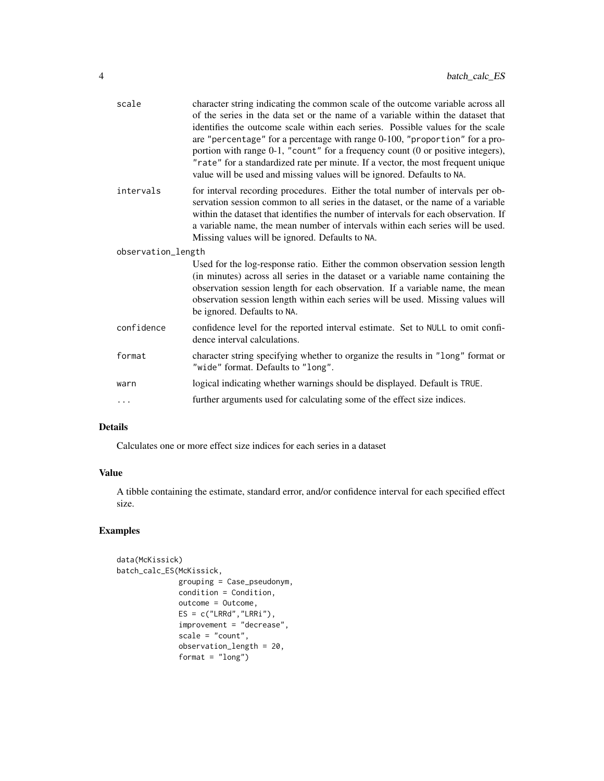| scale              | character string indicating the common scale of the outcome variable across all<br>of the series in the data set or the name of a variable within the dataset that<br>identifies the outcome scale within each series. Possible values for the scale<br>are "percentage" for a percentage with range 0-100, "proportion" for a pro-<br>portion with range 0-1, "count" for a frequency count (0 or positive integers),<br>"rate" for a standardized rate per minute. If a vector, the most frequent unique<br>value will be used and missing values will be ignored. Defaults to NA. |
|--------------------|--------------------------------------------------------------------------------------------------------------------------------------------------------------------------------------------------------------------------------------------------------------------------------------------------------------------------------------------------------------------------------------------------------------------------------------------------------------------------------------------------------------------------------------------------------------------------------------|
| intervals          | for interval recording procedures. Either the total number of intervals per ob-<br>servation session common to all series in the dataset, or the name of a variable<br>within the dataset that identifies the number of intervals for each observation. If<br>a variable name, the mean number of intervals within each series will be used.<br>Missing values will be ignored. Defaults to NA.                                                                                                                                                                                      |
| observation_length |                                                                                                                                                                                                                                                                                                                                                                                                                                                                                                                                                                                      |
|                    | Used for the log-response ratio. Either the common observation session length<br>(in minutes) across all series in the dataset or a variable name containing the<br>observation session length for each observation. If a variable name, the mean<br>observation session length within each series will be used. Missing values will<br>be ignored. Defaults to NA.                                                                                                                                                                                                                  |
| confidence         | confidence level for the reported interval estimate. Set to NULL to omit confi-<br>dence interval calculations.                                                                                                                                                                                                                                                                                                                                                                                                                                                                      |
| format             | character string specifying whether to organize the results in "long" format or<br>"wide" format. Defaults to "long".                                                                                                                                                                                                                                                                                                                                                                                                                                                                |
| warn               | logical indicating whether warnings should be displayed. Default is TRUE.                                                                                                                                                                                                                                                                                                                                                                                                                                                                                                            |
| .                  | further arguments used for calculating some of the effect size indices.                                                                                                                                                                                                                                                                                                                                                                                                                                                                                                              |
|                    |                                                                                                                                                                                                                                                                                                                                                                                                                                                                                                                                                                                      |

# Details

Calculates one or more effect size indices for each series in a dataset

# Value

A tibble containing the estimate, standard error, and/or confidence interval for each specified effect size.

# Examples

```
data(McKissick)
batch_calc_ES(McKissick,
             grouping = Case_pseudonym,
             condition = Condition,
             outcome = Outcome,
             ES = c("LRRd", "LRRi"),improvement = "decrease",
             scale = "count",
             observation_length = 20,
             format = "long")
```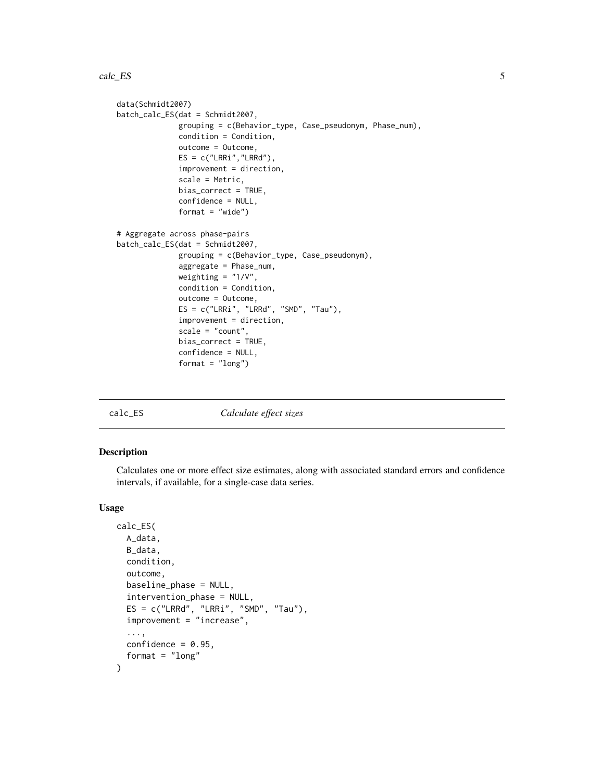```
data(Schmidt2007)
batch_calc_ES(dat = Schmidt2007,
              grouping = c(Behavior_type, Case_pseudonym, Phase_num),
              condition = Condition,
              outcome = Outcome,
              ES = c("LRRi","LRRd"),
              improvement = direction,
              scale = Metric,
              bias_correct = TRUE,
              confidence = NULL,
              format = "wide")
# Aggregate across phase-pairs
batch_calc_ES(dat = Schmidt2007,
              grouping = c(Behavior_type, Case_pseudonym),
              aggregate = Phase_num,
              weighting = "1/V",
              condition = Condition,
              outcome = Outcome,
              ES = c("LRRi", "LRRd", "SMD", "Tau"),
              improvement = direction,
              scale = "count".bias_correct = TRUE,
              confidence = NULL,
              format = "long")
```
calc\_ES *Calculate effect sizes*

#### Description

Calculates one or more effect size estimates, along with associated standard errors and confidence intervals, if available, for a single-case data series.

```
calc_ES(
  A_data,
  B_data,
  condition,
  outcome,
  baseline_phase = NULL,
  intervention_phase = NULL,
  ES = c("LRRd", "LRRi", "SMD", "Tau").improvement = "increase",
  ...,
  confidence = 0.95,
  format = "long")
```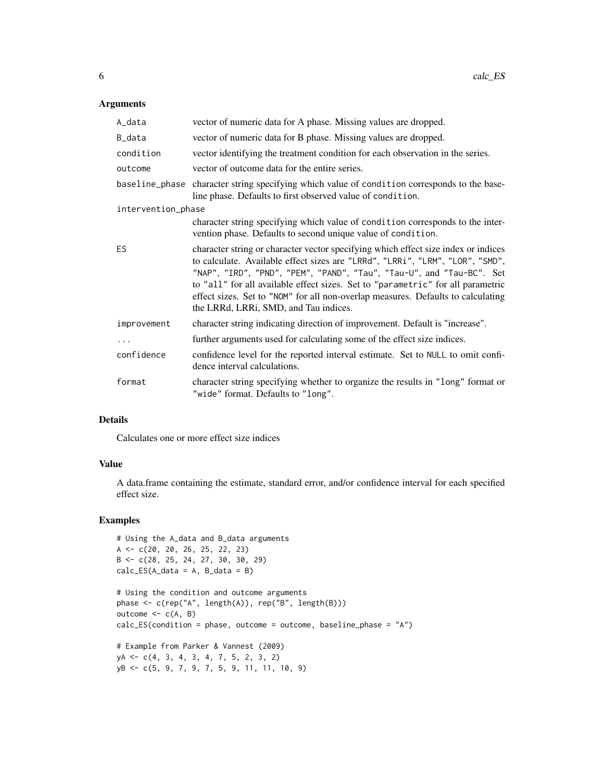# Arguments

| A_data             | vector of numeric data for A phase. Missing values are dropped.                                                                                                                                                                                                                                                                                                                                                                                              |
|--------------------|--------------------------------------------------------------------------------------------------------------------------------------------------------------------------------------------------------------------------------------------------------------------------------------------------------------------------------------------------------------------------------------------------------------------------------------------------------------|
| B_data             | vector of numeric data for B phase. Missing values are dropped.                                                                                                                                                                                                                                                                                                                                                                                              |
| condition          | vector identifying the treatment condition for each observation in the series.                                                                                                                                                                                                                                                                                                                                                                               |
| outcome            | vector of outcome data for the entire series.                                                                                                                                                                                                                                                                                                                                                                                                                |
|                    | baseline_phase character string specifying which value of condition corresponds to the base-<br>line phase. Defaults to first observed value of condition.                                                                                                                                                                                                                                                                                                   |
| intervention_phase |                                                                                                                                                                                                                                                                                                                                                                                                                                                              |
|                    | character string specifying which value of condition corresponds to the inter-<br>vention phase. Defaults to second unique value of condition.                                                                                                                                                                                                                                                                                                               |
| ES.                | character string or character vector specifying which effect size index or indices<br>to calculate. Available effect sizes are "LRRd", "LRRi", "LRM", "LOR", "SMD",<br>"NAP", "IRD", "PND", "PEM", "PAND", "Tau", "Tau-U", and "Tau-BC". Set<br>to "all" for all available effect sizes. Set to "parametric" for all parametric<br>effect sizes. Set to "NOM" for all non-overlap measures. Defaults to calculating<br>the LRRd, LRRi, SMD, and Tau indices. |
| improvement        | character string indicating direction of improvement. Default is "increase".                                                                                                                                                                                                                                                                                                                                                                                 |
| $\cdots$           | further arguments used for calculating some of the effect size indices.                                                                                                                                                                                                                                                                                                                                                                                      |
| confidence         | confidence level for the reported interval estimate. Set to NULL to omit confi-<br>dence interval calculations.                                                                                                                                                                                                                                                                                                                                              |
| format             | character string specifying whether to organize the results in "long" format or<br>"wide" format. Defaults to "long".                                                                                                                                                                                                                                                                                                                                        |

#### Details

Calculates one or more effect size indices

# Value

A data.frame containing the estimate, standard error, and/or confidence interval for each specified effect size.

# Examples

```
# Using the A_data and B_data arguments
A <- c(20, 20, 26, 25, 22, 23)
B <- c(28, 25, 24, 27, 30, 30, 29)
calc\_ES(A_data = A, B_data = B)# Using the condition and outcome arguments
phase \leq c(rep("A", length(A)), rep("B", length(B)))
outcome <-c(A, B)calc_ES(condition = phase, outcome = outcome, baseline_phase = "A")
# Example from Parker & Vannest (2009)
yA <- c(4, 3, 4, 3, 4, 7, 5, 2, 3, 2)
yB <- c(5, 9, 7, 9, 7, 5, 9, 11, 11, 10, 9)
```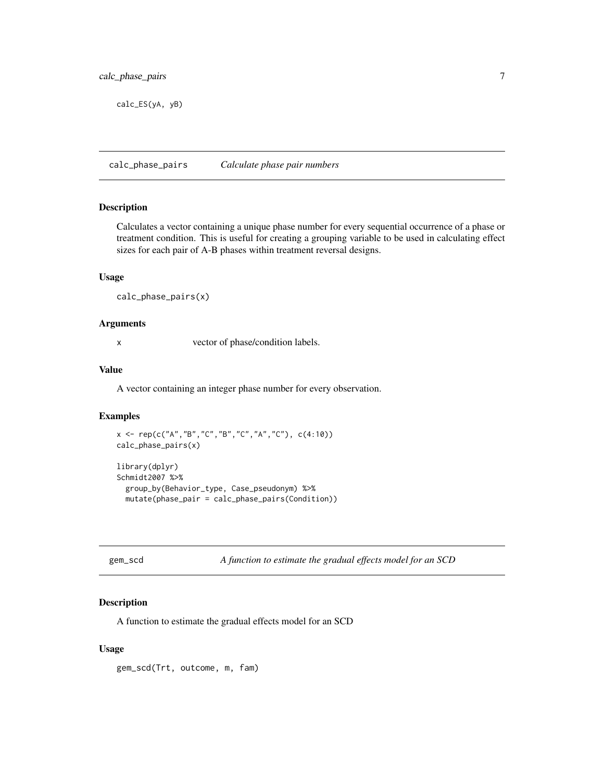<span id="page-6-0"></span>calc\_ES(yA, yB)

calc\_phase\_pairs *Calculate phase pair numbers*

#### Description

Calculates a vector containing a unique phase number for every sequential occurrence of a phase or treatment condition. This is useful for creating a grouping variable to be used in calculating effect sizes for each pair of A-B phases within treatment reversal designs.

# Usage

calc\_phase\_pairs(x)

#### Arguments

x vector of phase/condition labels.

#### Value

A vector containing an integer phase number for every observation.

#### Examples

```
x <- rep(c("A","B","C","B","C","A","C"), c(4:10))
calc_phase_pairs(x)
```

```
library(dplyr)
Schmidt2007 %>%
 group_by(Behavior_type, Case_pseudonym) %>%
 mutate(phase_pair = calc_phase_pairs(Condition))
```
gem\_scd *A function to estimate the gradual effects model for an SCD*

# Description

A function to estimate the gradual effects model for an SCD

#### Usage

gem\_scd(Trt, outcome, m, fam)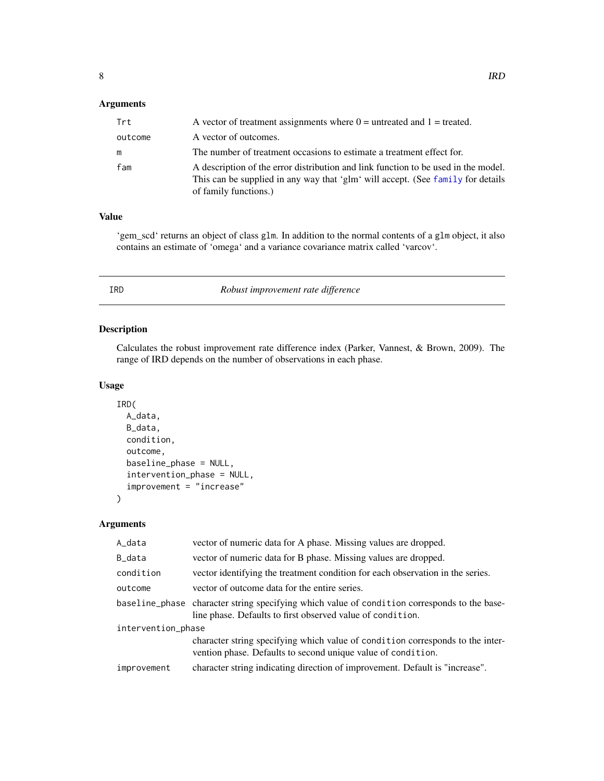# <span id="page-7-0"></span>Arguments

| Trt     | A vector of treatment assignments where $0 =$ untreated and $1 =$ treated.                                                                                                                     |
|---------|------------------------------------------------------------------------------------------------------------------------------------------------------------------------------------------------|
| outcome | A vector of outcomes.                                                                                                                                                                          |
| m       | The number of treatment occasions to estimate a treatment effect for.                                                                                                                          |
| fam     | A description of the error distribution and link function to be used in the model.<br>This can be supplied in any way that 'glm' will accept. (See family for details<br>of family functions.) |

# Value

'gem\_scd' returns an object of class glm. In addition to the normal contents of a glm object, it also contains an estimate of 'omega' and a variance covariance matrix called 'varcov'.

IRD *Robust improvement rate difference*

# Description

Calculates the robust improvement rate difference index (Parker, Vannest, & Brown, 2009). The range of IRD depends on the number of observations in each phase.

# Usage

```
IRD(
  A_data,
 B_data,
 condition,
  outcome,
  baseline_phase = NULL,
  intervention_phase = NULL,
  improvement = "increase"
```
# Arguments

)

| A_data             | vector of numeric data for A phase. Missing values are dropped.                                                                                            |  |
|--------------------|------------------------------------------------------------------------------------------------------------------------------------------------------------|--|
| B_data             | vector of numeric data for B phase. Missing values are dropped.                                                                                            |  |
| condition          | vector identifying the treatment condition for each observation in the series.                                                                             |  |
| outcome            | vector of outcome data for the entire series.                                                                                                              |  |
|                    | baseline_phase character string specifying which value of condition corresponds to the base-<br>line phase. Defaults to first observed value of condition. |  |
| intervention_phase |                                                                                                                                                            |  |
|                    | character string specifying which value of condition corresponds to the inter-<br>vention phase. Defaults to second unique value of condition.             |  |
| improvement        | character string indicating direction of improvement. Default is "increase".                                                                               |  |
|                    |                                                                                                                                                            |  |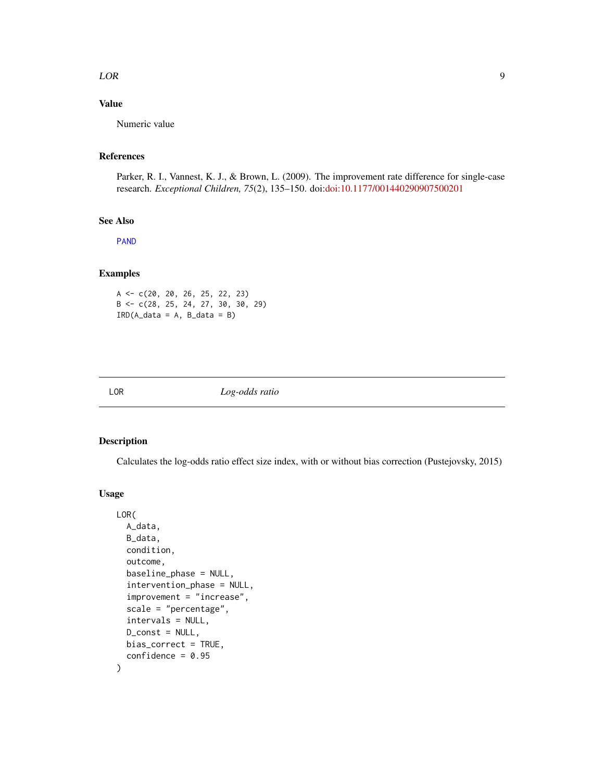#### <span id="page-8-0"></span> $LOR$  9

# Value

Numeric value

# References

Parker, R. I., Vannest, K. J., & Brown, L. (2009). The improvement rate difference for single-case research. *Exceptional Children, 75*(2), 135–150. doi[:doi:10.1177/001440290907500201](https://doi.org/10.1177/001440290907500201)

#### See Also

[PAND](#page-17-1)

# Examples

A <- c(20, 20, 26, 25, 22, 23) B <- c(28, 25, 24, 27, 30, 30, 29)  $IRD(A_data = A, B_data = B)$ 

LOR *Log-odds ratio*

## Description

Calculates the log-odds ratio effect size index, with or without bias correction (Pustejovsky, 2015)

```
LOR(
  A_data,
 B_data,
  condition,
  outcome,
  baseline_phase = NULL,
  intervention_phase = NULL,
  improvement = "increase",
  scale = "percentage",
  intervals = NULL,
  D_const = NULL,
 bias_correct = TRUE,
  confidence = 0.95)
```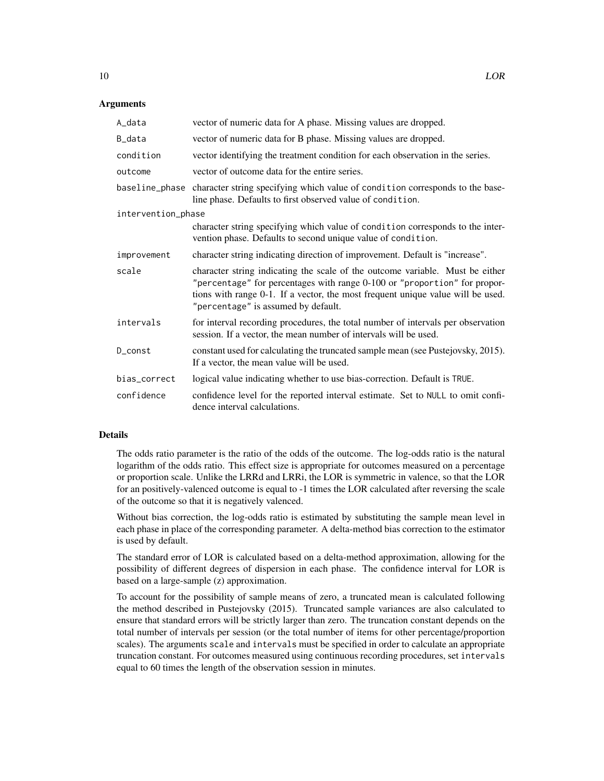# Arguments

| A_data             | vector of numeric data for A phase. Missing values are dropped.                                                                                                                                                                                                                      |
|--------------------|--------------------------------------------------------------------------------------------------------------------------------------------------------------------------------------------------------------------------------------------------------------------------------------|
| B_data             | vector of numeric data for B phase. Missing values are dropped.                                                                                                                                                                                                                      |
| condition          | vector identifying the treatment condition for each observation in the series.                                                                                                                                                                                                       |
| outcome            | vector of outcome data for the entire series.                                                                                                                                                                                                                                        |
| baseline_phase     | character string specifying which value of condition corresponds to the base-<br>line phase. Defaults to first observed value of condition.                                                                                                                                          |
| intervention_phase |                                                                                                                                                                                                                                                                                      |
|                    | character string specifying which value of condition corresponds to the inter-<br>vention phase. Defaults to second unique value of condition.                                                                                                                                       |
| improvement        | character string indicating direction of improvement. Default is "increase".                                                                                                                                                                                                         |
| scale              | character string indicating the scale of the outcome variable. Must be either<br>"percentage" for percentages with range 0-100 or "proportion" for propor-<br>tions with range 0-1. If a vector, the most frequent unique value will be used.<br>"percentage" is assumed by default. |
| intervals          | for interval recording procedures, the total number of intervals per observation<br>session. If a vector, the mean number of intervals will be used.                                                                                                                                 |
| D_const            | constant used for calculating the truncated sample mean (see Pustejovsky, 2015).<br>If a vector, the mean value will be used.                                                                                                                                                        |
| bias_correct       | logical value indicating whether to use bias-correction. Default is TRUE.                                                                                                                                                                                                            |
| confidence         | confidence level for the reported interval estimate. Set to NULL to omit confi-<br>dence interval calculations.                                                                                                                                                                      |

#### Details

The odds ratio parameter is the ratio of the odds of the outcome. The log-odds ratio is the natural logarithm of the odds ratio. This effect size is appropriate for outcomes measured on a percentage or proportion scale. Unlike the LRRd and LRRi, the LOR is symmetric in valence, so that the LOR for an positively-valenced outcome is equal to -1 times the LOR calculated after reversing the scale of the outcome so that it is negatively valenced.

Without bias correction, the log-odds ratio is estimated by substituting the sample mean level in each phase in place of the corresponding parameter. A delta-method bias correction to the estimator is used by default.

The standard error of LOR is calculated based on a delta-method approximation, allowing for the possibility of different degrees of dispersion in each phase. The confidence interval for LOR is based on a large-sample (z) approximation.

To account for the possibility of sample means of zero, a truncated mean is calculated following the method described in Pustejovsky (2015). Truncated sample variances are also calculated to ensure that standard errors will be strictly larger than zero. The truncation constant depends on the total number of intervals per session (or the total number of items for other percentage/proportion scales). The arguments scale and intervals must be specified in order to calculate an appropriate truncation constant. For outcomes measured using continuous recording procedures, set intervals equal to 60 times the length of the observation session in minutes.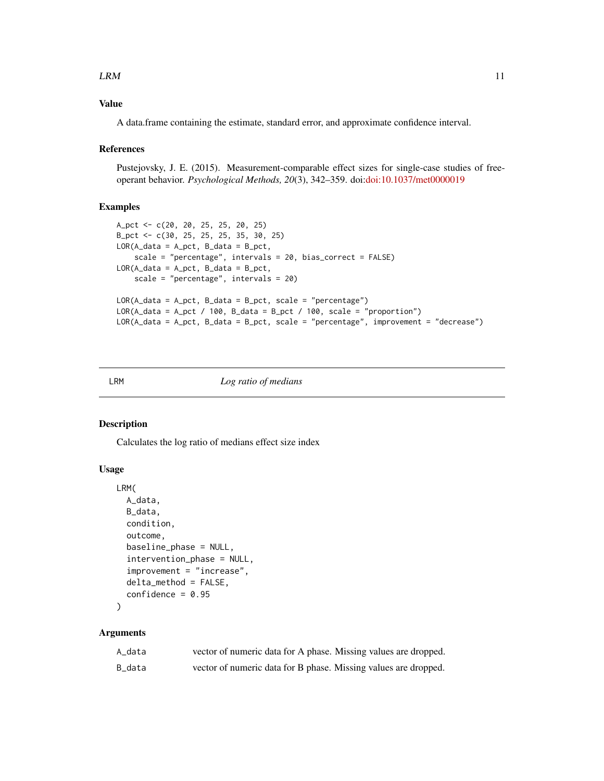#### <span id="page-10-0"></span> $LRM$  11

# Value

A data.frame containing the estimate, standard error, and approximate confidence interval.

# References

Pustejovsky, J. E. (2015). Measurement-comparable effect sizes for single-case studies of freeoperant behavior. *Psychological Methods, 20*(3), 342–359. doi[:doi:10.1037/met0000019](https://doi.org/10.1037/met0000019)

# Examples

```
A_pct <- c(20, 20, 25, 25, 20, 25)
B_pct <- c(30, 25, 25, 25, 35, 30, 25)
LOR(A_data = A_pct, B_data = B_pct,scale = "percentage", intervals = 20, bias_correct = FALSE)
LOR(A_data = A_pct, B_data = B_pct,scale = "percentage", intervals = 20)
LOR(A_data = A_pct, B_data = B_pct, scale = "percentage")
LOR(A_data = A_pct / 100, B_data = B_pct / 100, scale = "proportion")LOR(A_data = A_pct, B_data = B_pct, scale = "percentage", improvement = "decrease")
```
# LRM *Log ratio of medians*

# Description

Calculates the log ratio of medians effect size index

### Usage

```
LRM(
  A_data,
 B_data,
  condition,
  outcome,
  baseline_phase = NULL,
  intervention_phase = NULL,
  improvement = "increase",
  delta_method = FALSE,
  confidence = 0.95)
```
# Arguments

| A data | vector of numeric data for A phase. Missing values are dropped. |
|--------|-----------------------------------------------------------------|
| B_data | vector of numeric data for B phase. Missing values are dropped. |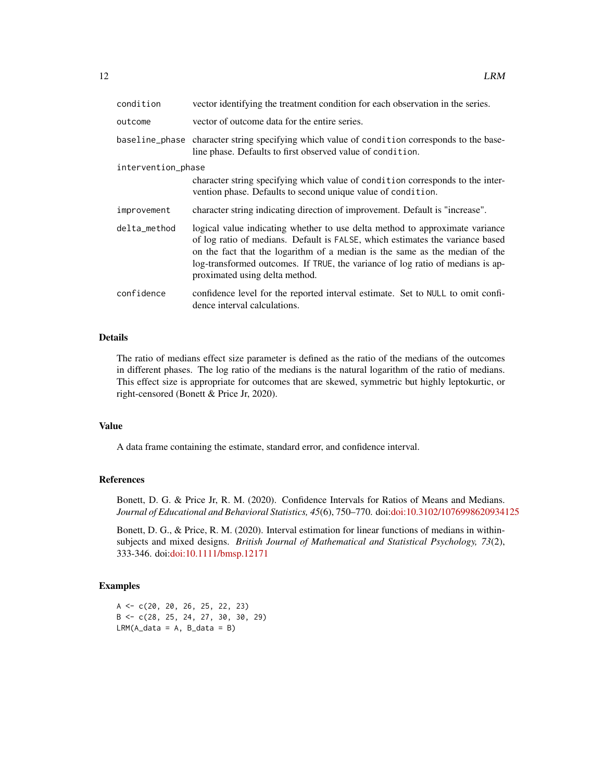| condition          | vector identifying the treatment condition for each observation in the series.                                                                                                                                                                                                                                                                                   |  |
|--------------------|------------------------------------------------------------------------------------------------------------------------------------------------------------------------------------------------------------------------------------------------------------------------------------------------------------------------------------------------------------------|--|
| outcome            | vector of outcome data for the entire series.                                                                                                                                                                                                                                                                                                                    |  |
|                    | baseline_phase character string specifying which value of condition corresponds to the base-<br>line phase. Defaults to first observed value of condition.                                                                                                                                                                                                       |  |
| intervention_phase |                                                                                                                                                                                                                                                                                                                                                                  |  |
|                    | character string specifying which value of condition corresponds to the inter-<br>vention phase. Defaults to second unique value of condition.                                                                                                                                                                                                                   |  |
| improvement        | character string indicating direction of improvement. Default is "increase".                                                                                                                                                                                                                                                                                     |  |
| delta_method       | logical value indicating whether to use delta method to approximate variance<br>of log ratio of medians. Default is FALSE, which estimates the variance based<br>on the fact that the logarithm of a median is the same as the median of the<br>log-transformed outcomes. If TRUE, the variance of log ratio of medians is ap-<br>proximated using delta method. |  |
| confidence         | confidence level for the reported interval estimate. Set to NULL to omit confi-<br>dence interval calculations.                                                                                                                                                                                                                                                  |  |

# Details

The ratio of medians effect size parameter is defined as the ratio of the medians of the outcomes in different phases. The log ratio of the medians is the natural logarithm of the ratio of medians. This effect size is appropriate for outcomes that are skewed, symmetric but highly leptokurtic, or right-censored (Bonett & Price Jr, 2020).

#### Value

A data frame containing the estimate, standard error, and confidence interval.

# References

Bonett, D. G. & Price Jr, R. M. (2020). Confidence Intervals for Ratios of Means and Medians. *Journal of Educational and Behavioral Statistics, 45*(6), 750–770. doi[:doi:10.3102/1076998620934125](https://doi.org/10.3102/1076998620934125)

Bonett, D. G., & Price, R. M. (2020). Interval estimation for linear functions of medians in withinsubjects and mixed designs. *British Journal of Mathematical and Statistical Psychology, 73*(2), 333-346. doi[:doi:10.1111/bmsp.12171](https://doi.org/10.1111/bmsp.12171)

# Examples

A <- c(20, 20, 26, 25, 22, 23) B <- c(28, 25, 24, 27, 30, 30, 29)  $LRM(A_data = A, B_data = B)$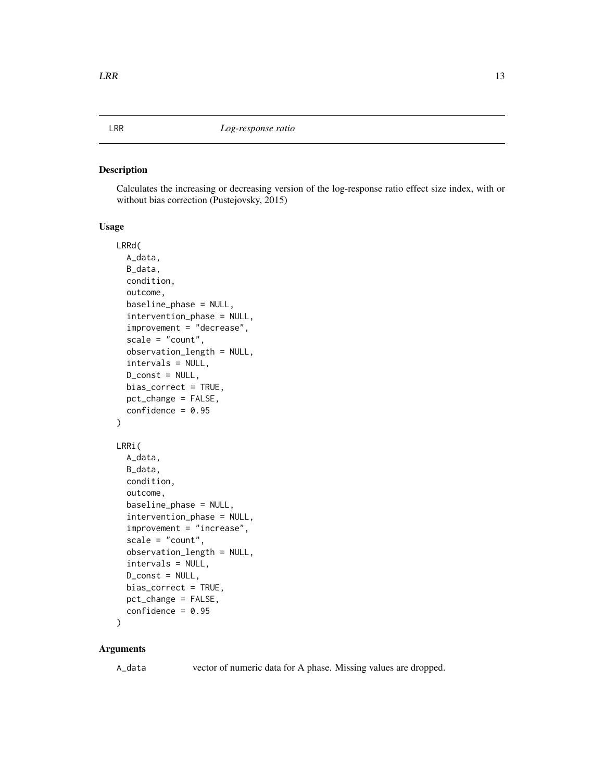# <span id="page-12-0"></span>Description

Calculates the increasing or decreasing version of the log-response ratio effect size index, with or without bias correction (Pustejovsky, 2015)

# Usage

```
LRRd(
  A_data,
 B_data,
  condition,
  outcome,
  baseline_phase = NULL,
  intervention_phase = NULL,
  improvement = "decrease",
  scale = "count",observation_length = NULL,
  intervals = NULL,
 D_const = NULL,
 bias_correct = TRUE,
 pct_change = FALSE,
  confidence = 0.95\mathcal{E}LRRi(
  A_data,
 B_data,
  condition,
  outcome,
  baseline_phase = NULL,
  intervention_phase = NULL,
  improvement = "increase",
  scale = "count",observation_length = NULL,
  intervals = NULL,
  D_const = NULL,
  bias_correct = TRUE,
  pct_change = FALSE,
  confidence = 0.95)
```
#### Arguments

A\_data vector of numeric data for A phase. Missing values are dropped.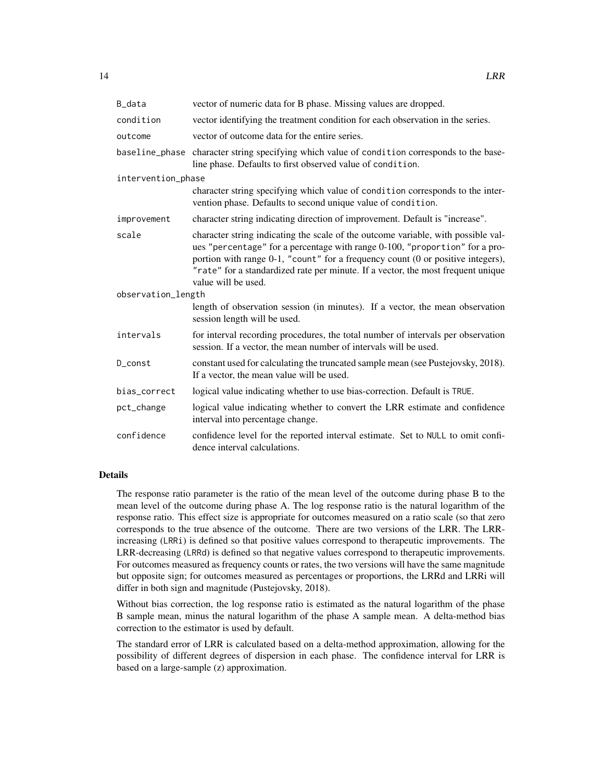| B_data             | vector of numeric data for B phase. Missing values are dropped.                                                                                                                                                                                                                                                                                                |  |
|--------------------|----------------------------------------------------------------------------------------------------------------------------------------------------------------------------------------------------------------------------------------------------------------------------------------------------------------------------------------------------------------|--|
| condition          | vector identifying the treatment condition for each observation in the series.                                                                                                                                                                                                                                                                                 |  |
| outcome            | vector of outcome data for the entire series.                                                                                                                                                                                                                                                                                                                  |  |
|                    | baseline_phase character string specifying which value of condition corresponds to the base-<br>line phase. Defaults to first observed value of condition.                                                                                                                                                                                                     |  |
| intervention_phase |                                                                                                                                                                                                                                                                                                                                                                |  |
|                    | character string specifying which value of condition corresponds to the inter-<br>vention phase. Defaults to second unique value of condition.                                                                                                                                                                                                                 |  |
| improvement        | character string indicating direction of improvement. Default is "increase".                                                                                                                                                                                                                                                                                   |  |
| scale              | character string indicating the scale of the outcome variable, with possible val-<br>ues "percentage" for a percentage with range 0-100, "proportion" for a pro-<br>portion with range 0-1, "count" for a frequency count (0 or positive integers),<br>"rate" for a standardized rate per minute. If a vector, the most frequent unique<br>value will be used. |  |
| observation_length |                                                                                                                                                                                                                                                                                                                                                                |  |
|                    | length of observation session (in minutes). If a vector, the mean observation<br>session length will be used.                                                                                                                                                                                                                                                  |  |
| intervals          | for interval recording procedures, the total number of intervals per observation<br>session. If a vector, the mean number of intervals will be used.                                                                                                                                                                                                           |  |
| D_const            | constant used for calculating the truncated sample mean (see Pustejovsky, 2018).<br>If a vector, the mean value will be used.                                                                                                                                                                                                                                  |  |
| bias_correct       | logical value indicating whether to use bias-correction. Default is TRUE.                                                                                                                                                                                                                                                                                      |  |
| pct_change         | logical value indicating whether to convert the LRR estimate and confidence<br>interval into percentage change.                                                                                                                                                                                                                                                |  |
| confidence         | confidence level for the reported interval estimate. Set to NULL to omit confi-<br>dence interval calculations.                                                                                                                                                                                                                                                |  |

# Details

The response ratio parameter is the ratio of the mean level of the outcome during phase B to the mean level of the outcome during phase A. The log response ratio is the natural logarithm of the response ratio. This effect size is appropriate for outcomes measured on a ratio scale (so that zero corresponds to the true absence of the outcome. There are two versions of the LRR. The LRRincreasing (LRRi) is defined so that positive values correspond to therapeutic improvements. The LRR-decreasing (LRRd) is defined so that negative values correspond to therapeutic improvements. For outcomes measured as frequency counts or rates, the two versions will have the same magnitude but opposite sign; for outcomes measured as percentages or proportions, the LRRd and LRRi will differ in both sign and magnitude (Pustejovsky, 2018).

Without bias correction, the log response ratio is estimated as the natural logarithm of the phase B sample mean, minus the natural logarithm of the phase A sample mean. A delta-method bias correction to the estimator is used by default.

The standard error of LRR is calculated based on a delta-method approximation, allowing for the possibility of different degrees of dispersion in each phase. The confidence interval for LRR is based on a large-sample (z) approximation.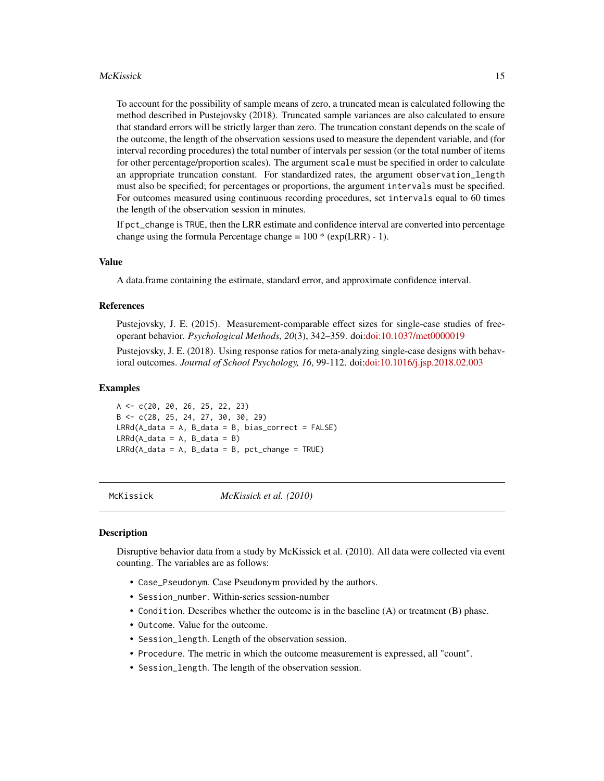#### <span id="page-14-0"></span>McKissick 15

To account for the possibility of sample means of zero, a truncated mean is calculated following the method described in Pustejovsky (2018). Truncated sample variances are also calculated to ensure that standard errors will be strictly larger than zero. The truncation constant depends on the scale of the outcome, the length of the observation sessions used to measure the dependent variable, and (for interval recording procedures) the total number of intervals per session (or the total number of items for other percentage/proportion scales). The argument scale must be specified in order to calculate an appropriate truncation constant. For standardized rates, the argument observation\_length must also be specified; for percentages or proportions, the argument intervals must be specified. For outcomes measured using continuous recording procedures, set intervals equal to 60 times the length of the observation session in minutes.

If pct\_change is TRUE, then the LRR estimate and confidence interval are converted into percentage change using the formula Percentage change =  $100 * (exp(LRR) - 1)$ .

# Value

A data.frame containing the estimate, standard error, and approximate confidence interval.

# References

Pustejovsky, J. E. (2015). Measurement-comparable effect sizes for single-case studies of freeoperant behavior. *Psychological Methods, 20*(3), 342–359. doi[:doi:10.1037/met0000019](https://doi.org/10.1037/met0000019)

Pustejovsky, J. E. (2018). Using response ratios for meta-analyzing single-case designs with behavioral outcomes. *Journal of School Psychology, 16*, 99-112. doi[:doi:10.1016/j.jsp.2018.02.003](https://doi.org/10.1016/j.jsp.2018.02.003)

#### Examples

A <- c(20, 20, 26, 25, 22, 23) B <- c(28, 25, 24, 27, 30, 30, 29)  $LRRd(A_data = A, B_data = B, bias$  $LRRd(A_data = A, B_data = B)$  $LRRd(A_data = A, B_data = B, pct-change = TRUE)$ 

McKissick *McKissick et al. (2010)*

#### **Description**

Disruptive behavior data from a study by McKissick et al. (2010). All data were collected via event counting. The variables are as follows:

- Case\_Pseudonym. Case Pseudonym provided by the authors.
- Session\_number. Within-series session-number
- Condition. Describes whether the outcome is in the baseline (A) or treatment (B) phase.
- Outcome. Value for the outcome.
- Session\_length. Length of the observation session.
- Procedure. The metric in which the outcome measurement is expressed, all "count".
- Session\_length. The length of the observation session.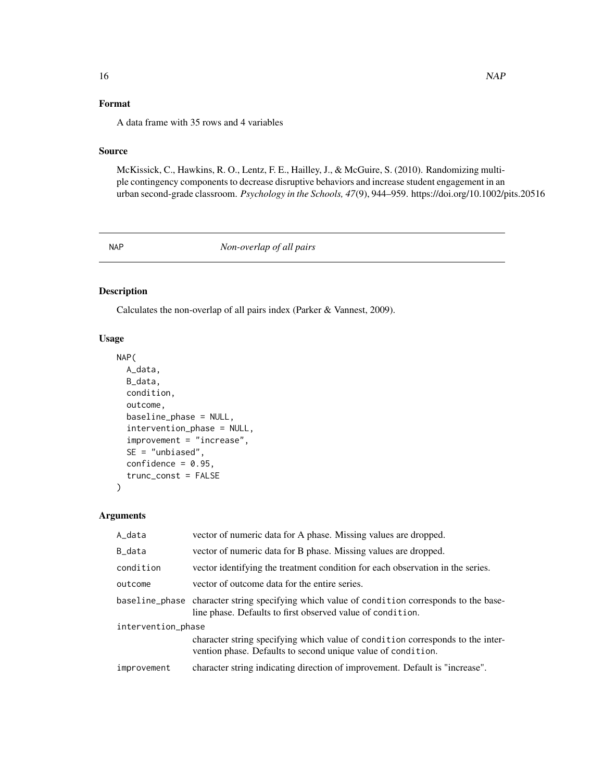# <span id="page-15-0"></span>Format

A data frame with 35 rows and 4 variables

# Source

McKissick, C., Hawkins, R. O., Lentz, F. E., Hailley, J., & McGuire, S. (2010). Randomizing multiple contingency components to decrease disruptive behaviors and increase student engagement in an urban second-grade classroom. *Psychology in the Schools, 47*(9), 944–959. https://doi.org/10.1002/pits.20516

<span id="page-15-1"></span>

NAP *Non-overlap of all pairs*

# Description

Calculates the non-overlap of all pairs index (Parker & Vannest, 2009).

#### Usage

```
NAP(
  A_data,
 B_data,
  condition,
  outcome,
  baseline_phase = NULL,
  intervention_phase = NULL,
  improvement = "increase",
  SE = "unbiased",
  confidence = 0.95,
  trunc_const = FALSE
```
# Arguments

 $\mathcal{L}$ 

| A_data             | vector of numeric data for A phase. Missing values are dropped.                                                                                            |  |
|--------------------|------------------------------------------------------------------------------------------------------------------------------------------------------------|--|
| B_data             | vector of numeric data for B phase. Missing values are dropped.                                                                                            |  |
| condition          | vector identifying the treatment condition for each observation in the series.                                                                             |  |
| outcome            | vector of outcome data for the entire series.                                                                                                              |  |
|                    | baseline_phase character string specifying which value of condition corresponds to the base-<br>line phase. Defaults to first observed value of condition. |  |
| intervention_phase |                                                                                                                                                            |  |
|                    | character string specifying which value of condition corresponds to the inter-<br>vention phase. Defaults to second unique value of condition.             |  |
| improvement        | character string indicating direction of improvement. Default is "increase".                                                                               |  |
|                    |                                                                                                                                                            |  |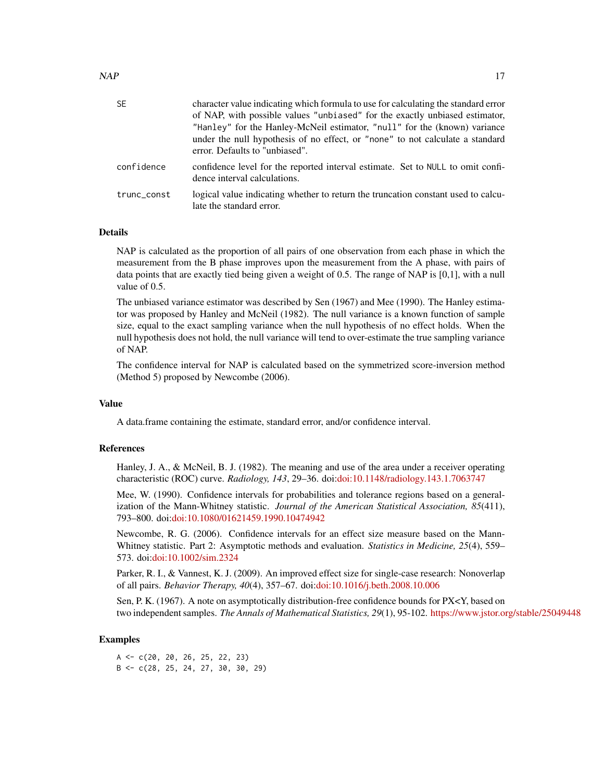| <b>SE</b>   | character value indicating which formula to use for calculating the standard error<br>of NAP, with possible values "unbiased" for the exactly unbiased estimator,<br>"Hanley" for the Hanley-McNeil estimator, "null" for the (known) variance<br>under the null hypothesis of no effect, or "none" to not calculate a standard<br>error. Defaults to "unbiased". |
|-------------|-------------------------------------------------------------------------------------------------------------------------------------------------------------------------------------------------------------------------------------------------------------------------------------------------------------------------------------------------------------------|
| confidence  | confidence level for the reported interval estimate. Set to NULL to omit confi-<br>dence interval calculations.                                                                                                                                                                                                                                                   |
| trunc_const | logical value indicating whether to return the truncation constant used to calcu-<br>late the standard error.                                                                                                                                                                                                                                                     |

# Details

NAP is calculated as the proportion of all pairs of one observation from each phase in which the measurement from the B phase improves upon the measurement from the A phase, with pairs of data points that are exactly tied being given a weight of 0.5. The range of NAP is [0,1], with a null value of 0.5.

The unbiased variance estimator was described by Sen (1967) and Mee (1990). The Hanley estimator was proposed by Hanley and McNeil (1982). The null variance is a known function of sample size, equal to the exact sampling variance when the null hypothesis of no effect holds. When the null hypothesis does not hold, the null variance will tend to over-estimate the true sampling variance of NAP.

The confidence interval for NAP is calculated based on the symmetrized score-inversion method (Method 5) proposed by Newcombe (2006).

#### Value

A data.frame containing the estimate, standard error, and/or confidence interval.

#### References

Hanley, J. A., & McNeil, B. J. (1982). The meaning and use of the area under a receiver operating characteristic (ROC) curve. *Radiology, 143*, 29–36. doi[:doi:10.1148/radiology.143.1.7063747](https://doi.org/10.1148/radiology.143.1.7063747)

Mee, W. (1990). Confidence intervals for probabilities and tolerance regions based on a generalization of the Mann-Whitney statistic. *Journal of the American Statistical Association, 85*(411), 793–800. doi[:doi:10.1080/01621459.1990.10474942](https://doi.org/10.1080/01621459.1990.10474942)

Newcombe, R. G. (2006). Confidence intervals for an effect size measure based on the Mann-Whitney statistic. Part 2: Asymptotic methods and evaluation. *Statistics in Medicine, 25*(4), 559– 573. doi[:doi:10.1002/sim.2324](https://doi.org/10.1002/sim.2324)

Parker, R. I., & Vannest, K. J. (2009). An improved effect size for single-case research: Nonoverlap of all pairs. *Behavior Therapy, 40*(4), 357–67. doi[:doi:10.1016/j.beth.2008.10.006](https://doi.org/10.1016/j.beth.2008.10.006)

Sen, P. K. (1967). A note on asymptotically distribution-free confidence bounds for PX<Y, based on two independent samples. *The Annals of Mathematical Statistics, 29*(1), 95-102. <https://www.jstor.org/stable/25049448>

#### Examples

 $A \leftarrow c(20, 20, 26, 25, 22, 23)$ B <- c(28, 25, 24, 27, 30, 30, 29)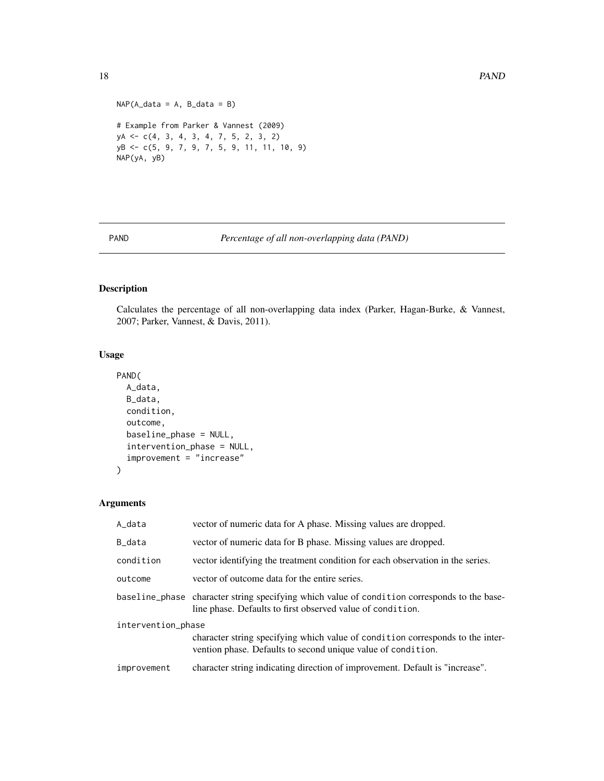```
NAP(A_data = A, B_data = B)# Example from Parker & Vannest (2009)
yA <- c(4, 3, 4, 3, 4, 7, 5, 2, 3, 2)
yB <- c(5, 9, 7, 9, 7, 5, 9, 11, 11, 10, 9)
NAP(yA, yB)
```

```
PAND Percentage of all non-overlapping data (PAND)
```
# Description

Calculates the percentage of all non-overlapping data index (Parker, Hagan-Burke, & Vannest, 2007; Parker, Vannest, & Davis, 2011).

# Usage

```
PAND(
  A_data,
  B_data,
  condition,
  outcome,
  baseline_phase = NULL,
  intervention_phase = NULL,
  improvement = "increase"
\mathcal{L}
```
## Arguments

| A_data             | vector of numeric data for A phase. Missing values are dropped.                                                                                            |
|--------------------|------------------------------------------------------------------------------------------------------------------------------------------------------------|
| B_data             | vector of numeric data for B phase. Missing values are dropped.                                                                                            |
| condition          | vector identifying the treatment condition for each observation in the series.                                                                             |
| outcome            | vector of outcome data for the entire series.                                                                                                              |
|                    | baseline_phase character string specifying which value of condition corresponds to the base-<br>line phase. Defaults to first observed value of condition. |
| intervention_phase |                                                                                                                                                            |
|                    | character string specifying which value of condition corresponds to the inter-<br>vention phase. Defaults to second unique value of condition.             |
| improvement        | character string indicating direction of improvement. Default is "increase".                                                                               |

<span id="page-17-0"></span>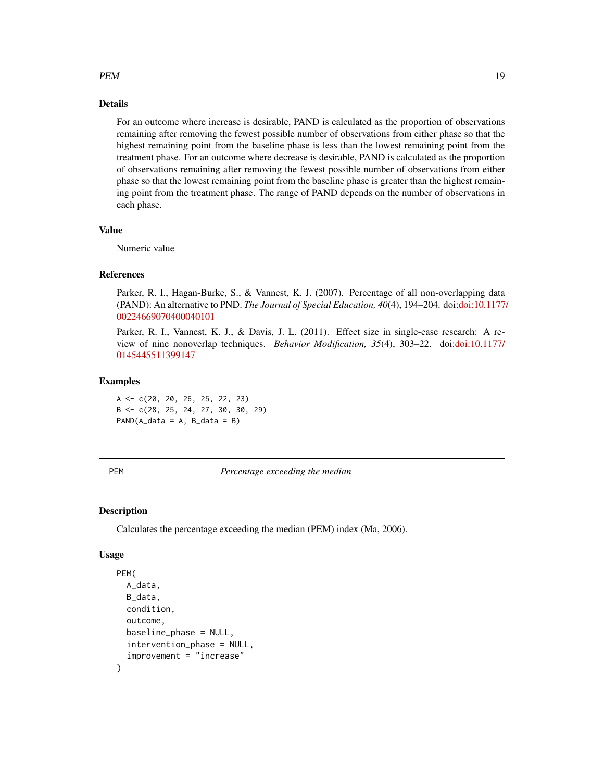# <span id="page-18-0"></span> $PEM$  19

# Details

For an outcome where increase is desirable, PAND is calculated as the proportion of observations remaining after removing the fewest possible number of observations from either phase so that the highest remaining point from the baseline phase is less than the lowest remaining point from the treatment phase. For an outcome where decrease is desirable, PAND is calculated as the proportion of observations remaining after removing the fewest possible number of observations from either phase so that the lowest remaining point from the baseline phase is greater than the highest remaining point from the treatment phase. The range of PAND depends on the number of observations in each phase.

# Value

Numeric value

# References

Parker, R. I., Hagan-Burke, S., & Vannest, K. J. (2007). Percentage of all non-overlapping data (PAND): An alternative to PND. *The Journal of Special Education, 40*(4), 194–204. doi[:doi:10.1177/](https://doi.org/10.1177/00224669070400040101) [00224669070400040101](https://doi.org/10.1177/00224669070400040101)

Parker, R. I., Vannest, K. J., & Davis, J. L. (2011). Effect size in single-case research: A review of nine nonoverlap techniques. *Behavior Modification, 35*(4), 303–22. doi[:doi:10.1177/](https://doi.org/10.1177/0145445511399147) [0145445511399147](https://doi.org/10.1177/0145445511399147)

# Examples

 $A \leq C(20, 20, 26, 25, 22, 23)$ B <- c(28, 25, 24, 27, 30, 30, 29)  $PAND(A_data = A, B_data = B)$ 

PEM *Percentage exceeding the median*

# **Description**

Calculates the percentage exceeding the median (PEM) index (Ma, 2006).

```
PEM(
  A_data,
  B_data,
  condition,
  outcome,
  baseline_phase = NULL,
  intervention_phase = NULL,
  improvement = "increase"
)
```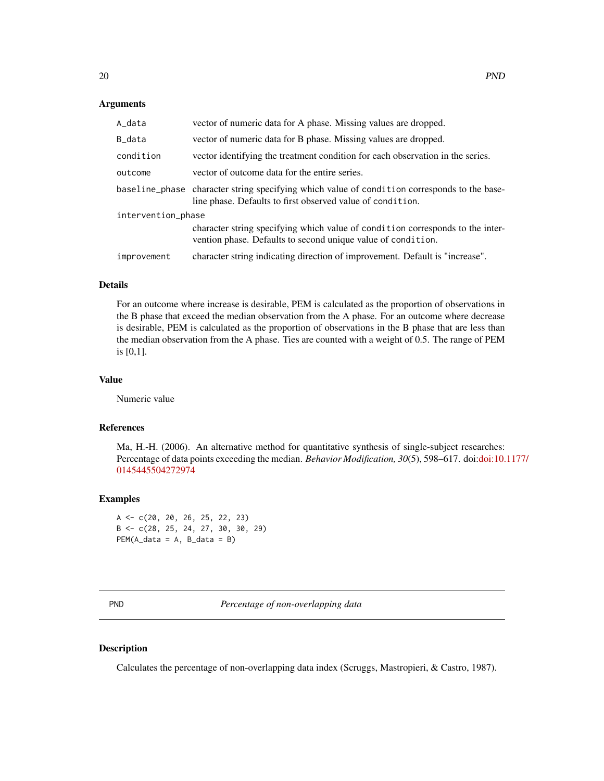#### **Arguments**

| A_data             | vector of numeric data for A phase. Missing values are dropped.                                                                                            |
|--------------------|------------------------------------------------------------------------------------------------------------------------------------------------------------|
| B_data             | vector of numeric data for B phase. Missing values are dropped.                                                                                            |
| condition          | vector identifying the treatment condition for each observation in the series.                                                                             |
| outcome            | vector of outcome data for the entire series.                                                                                                              |
|                    | baseline_phase character string specifying which value of condition corresponds to the base-<br>line phase. Defaults to first observed value of condition. |
| intervention_phase |                                                                                                                                                            |
|                    | character string specifying which value of condition corresponds to the inter-<br>vention phase. Defaults to second unique value of condition.             |
| improvement        | character string indicating direction of improvement. Default is "increase".                                                                               |

#### Details

For an outcome where increase is desirable, PEM is calculated as the proportion of observations in the B phase that exceed the median observation from the A phase. For an outcome where decrease is desirable, PEM is calculated as the proportion of observations in the B phase that are less than the median observation from the A phase. Ties are counted with a weight of 0.5. The range of PEM is [0,1].

# Value

Numeric value

# References

Ma, H.-H. (2006). An alternative method for quantitative synthesis of single-subject researches: Percentage of data points exceeding the median. *Behavior Modification, 30*(5), 598–617. doi[:doi:10.](https://doi.org/10.1177/0145445504272974)1177/ [0145445504272974](https://doi.org/10.1177/0145445504272974)

# Examples

```
A <- c(20, 20, 26, 25, 22, 23)
B <- c(28, 25, 24, 27, 30, 30, 29)
PEM(A_data = A, B_data = B)
```
**Percentage of non-overlapping data** 

#### Description

Calculates the percentage of non-overlapping data index (Scruggs, Mastropieri, & Castro, 1987).

<span id="page-19-0"></span>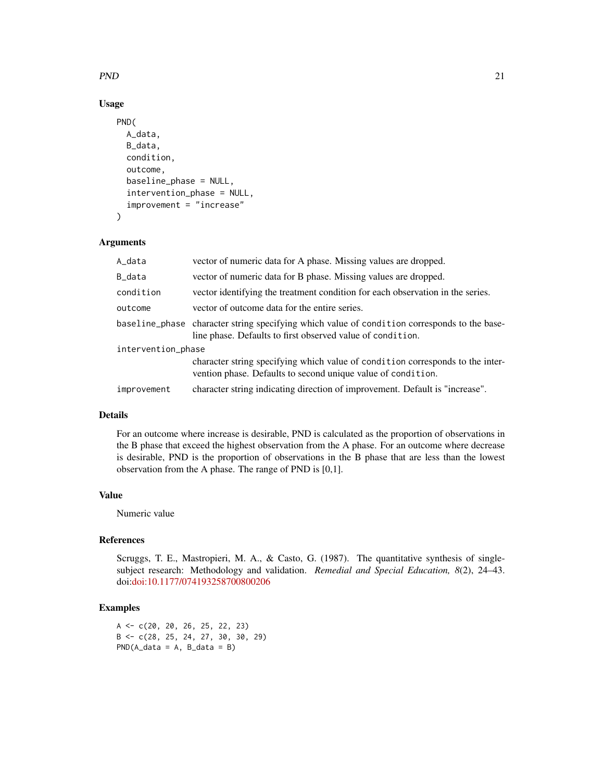# $PND$  21

# Usage

```
PND(
  A_data,
  B_data,
  condition,
  outcome,
  baseline_phase = NULL,
  intervention_phase = NULL,
  improvement = "increase"
)
```
# Arguments

| A_data             | vector of numeric data for A phase. Missing values are dropped.                                                                                            |
|--------------------|------------------------------------------------------------------------------------------------------------------------------------------------------------|
| B_data             | vector of numeric data for B phase. Missing values are dropped.                                                                                            |
| condition          | vector identifying the treatment condition for each observation in the series.                                                                             |
| outcome            | vector of outcome data for the entire series.                                                                                                              |
|                    | baseline_phase character string specifying which value of condition corresponds to the base-<br>line phase. Defaults to first observed value of condition. |
| intervention_phase |                                                                                                                                                            |
|                    | character string specifying which value of condition corresponds to the inter-<br>vention phase. Defaults to second unique value of condition.             |
| improvement        | character string indicating direction of improvement. Default is "increase".                                                                               |

# Details

For an outcome where increase is desirable, PND is calculated as the proportion of observations in the B phase that exceed the highest observation from the A phase. For an outcome where decrease is desirable, PND is the proportion of observations in the B phase that are less than the lowest observation from the A phase. The range of PND is [0,1].

# Value

Numeric value

# References

Scruggs, T. E., Mastropieri, M. A., & Casto, G. (1987). The quantitative synthesis of singlesubject research: Methodology and validation. *Remedial and Special Education, 8*(2), 24–43. doi[:doi:10.1177/074193258700800206](https://doi.org/10.1177/074193258700800206)

# Examples

```
A <- c(20, 20, 26, 25, 22, 23)
B <- c(28, 25, 24, 27, 30, 30, 29)
PND(A_data = A, B_data = B)
```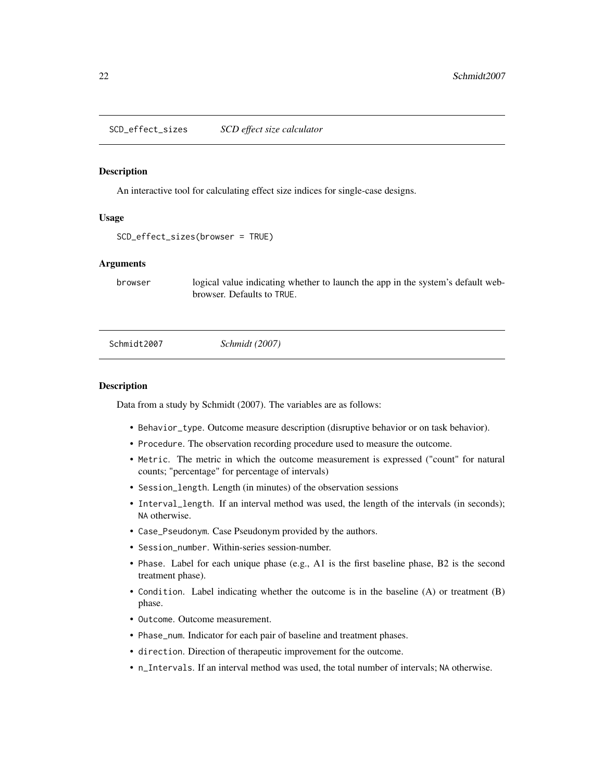<span id="page-21-0"></span>SCD\_effect\_sizes *SCD effect size calculator*

#### Description

An interactive tool for calculating effect size indices for single-case designs.

#### Usage

```
SCD_effect_sizes(browser = TRUE)
```
# Arguments

browser logical value indicating whether to launch the app in the system's default webbrowser. Defaults to TRUE.

Schmidt2007 *Schmidt (2007)*

## **Description**

Data from a study by Schmidt (2007). The variables are as follows:

- Behavior\_type. Outcome measure description (disruptive behavior or on task behavior).
- Procedure. The observation recording procedure used to measure the outcome.
- Metric. The metric in which the outcome measurement is expressed ("count" for natural counts; "percentage" for percentage of intervals)
- Session\_length. Length (in minutes) of the observation sessions
- Interval\_length. If an interval method was used, the length of the intervals (in seconds); NA otherwise.
- Case\_Pseudonym. Case Pseudonym provided by the authors.
- Session\_number. Within-series session-number.
- Phase. Label for each unique phase (e.g., A1 is the first baseline phase, B2 is the second treatment phase).
- Condition. Label indicating whether the outcome is in the baseline (A) or treatment (B) phase.
- Outcome. Outcome measurement.
- Phase\_num. Indicator for each pair of baseline and treatment phases.
- direction. Direction of therapeutic improvement for the outcome.
- n\_Intervals. If an interval method was used, the total number of intervals; NA otherwise.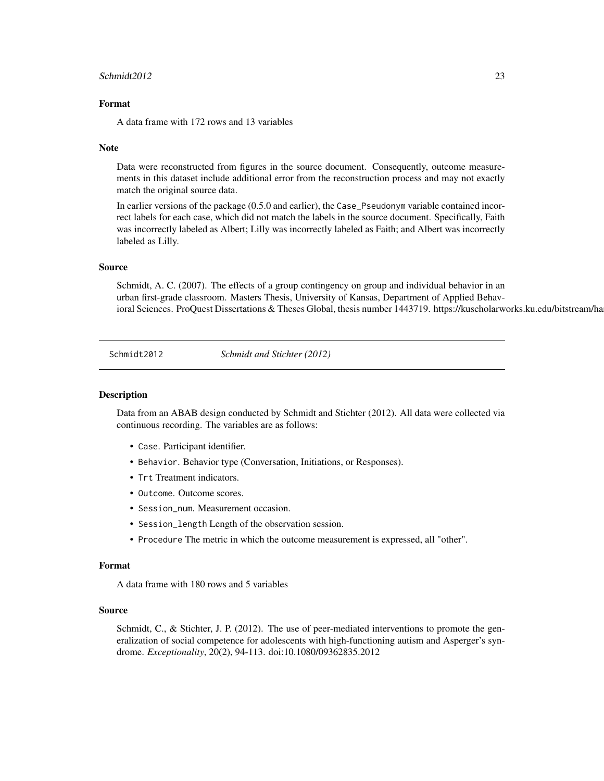#### <span id="page-22-0"></span> $Schmidt2012$  23

### Format

A data frame with 172 rows and 13 variables

#### Note

Data were reconstructed from figures in the source document. Consequently, outcome measurements in this dataset include additional error from the reconstruction process and may not exactly match the original source data.

In earlier versions of the package (0.5.0 and earlier), the Case\_Pseudonym variable contained incorrect labels for each case, which did not match the labels in the source document. Specifically, Faith was incorrectly labeled as Albert; Lilly was incorrectly labeled as Faith; and Albert was incorrectly labeled as Lilly.

#### Source

Schmidt, A. C. (2007). The effects of a group contingency on group and individual behavior in an urban first-grade classroom. Masters Thesis, University of Kansas, Department of Applied Behavioral Sciences. ProQuest Dissertations & Theses Global, thesis number 1443719. https://kuscholarworks.ku.edu/bitstream/ha

Schmidt2012 *Schmidt and Stichter (2012)*

#### Description

Data from an ABAB design conducted by Schmidt and Stichter (2012). All data were collected via continuous recording. The variables are as follows:

- Case. Participant identifier.
- Behavior. Behavior type (Conversation, Initiations, or Responses).
- Trt Treatment indicators.
- Outcome. Outcome scores.
- Session\_num. Measurement occasion.
- Session\_length Length of the observation session.
- Procedure The metric in which the outcome measurement is expressed, all "other".

#### Format

A data frame with 180 rows and 5 variables

#### Source

Schmidt, C., & Stichter, J. P. (2012). The use of peer-mediated interventions to promote the generalization of social competence for adolescents with high-functioning autism and Asperger's syndrome. *Exceptionality*, 20(2), 94-113. doi:10.1080/09362835.2012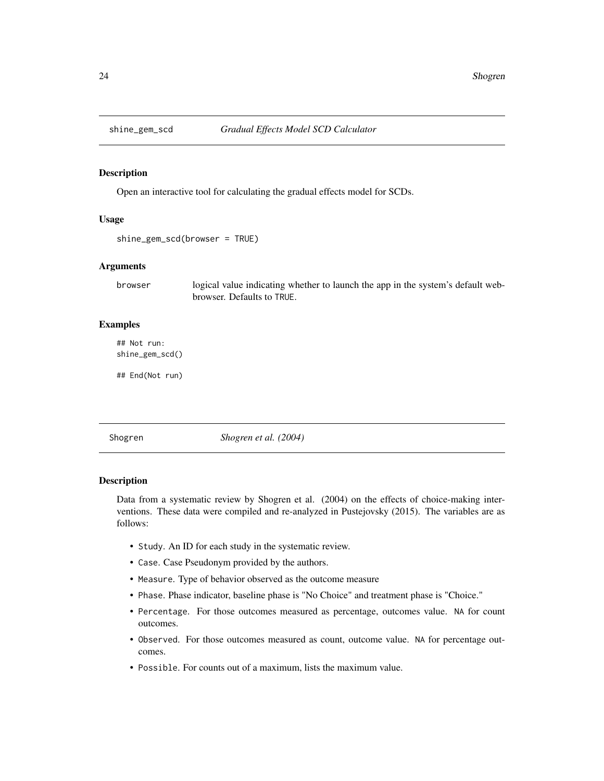<span id="page-23-0"></span>

# Description

Open an interactive tool for calculating the gradual effects model for SCDs.

#### Usage

```
shine_gem_scd(browser = TRUE)
```
# Arguments

browser logical value indicating whether to launch the app in the system's default webbrowser. Defaults to TRUE.

# Examples

## Not run: shine\_gem\_scd()

## End(Not run)

Shogren *Shogren et al. (2004)*

#### Description

Data from a systematic review by Shogren et al. (2004) on the effects of choice-making interventions. These data were compiled and re-analyzed in Pustejovsky (2015). The variables are as follows:

- Study. An ID for each study in the systematic review.
- Case. Case Pseudonym provided by the authors.
- Measure. Type of behavior observed as the outcome measure
- Phase. Phase indicator, baseline phase is "No Choice" and treatment phase is "Choice."
- Percentage. For those outcomes measured as percentage, outcomes value. NA for count outcomes.
- Observed. For those outcomes measured as count, outcome value. NA for percentage outcomes.
- Possible. For counts out of a maximum, lists the maximum value.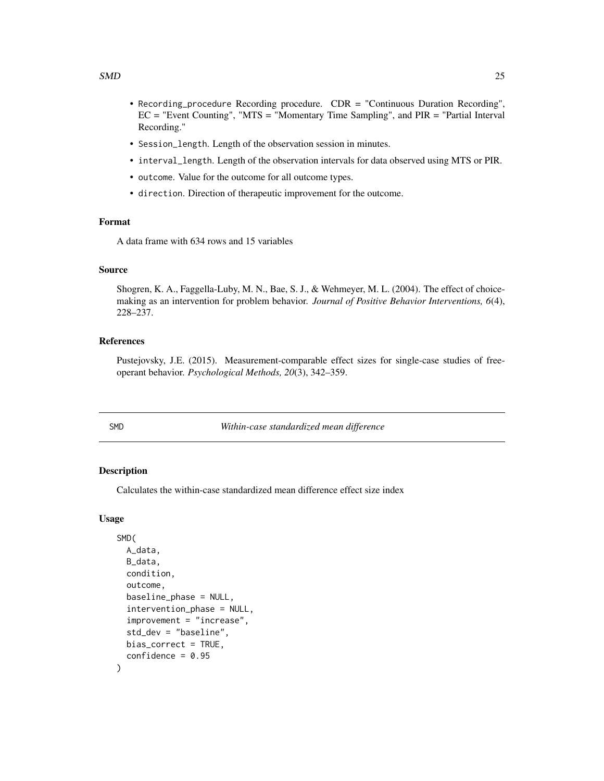- <span id="page-24-0"></span>• Recording\_procedure Recording procedure. CDR = "Continuous Duration Recording", EC = "Event Counting", "MTS = "Momentary Time Sampling", and PIR = "Partial Interval Recording."
- Session\_length. Length of the observation session in minutes.
- interval\_length. Length of the observation intervals for data observed using MTS or PIR.
- outcome. Value for the outcome for all outcome types.
- direction. Direction of therapeutic improvement for the outcome.

# Format

A data frame with 634 rows and 15 variables

#### Source

Shogren, K. A., Faggella-Luby, M. N., Bae, S. J., & Wehmeyer, M. L. (2004). The effect of choicemaking as an intervention for problem behavior. *Journal of Positive Behavior Interventions, 6*(4), 228–237.

# References

Pustejovsky, J.E. (2015). Measurement-comparable effect sizes for single-case studies of freeoperant behavior. *Psychological Methods, 20*(3), 342–359.

SMD *Within-case standardized mean difference*

#### Description

Calculates the within-case standardized mean difference effect size index

```
SMD(
  A_data,
 B_data,
  condition,
  outcome,
  baseline_phase = NULL,
  intervention_phase = NULL,
  improvement = "increase",
  std_dev = "baseline",
 bias_correct = TRUE,
  confidence = 0.95)
```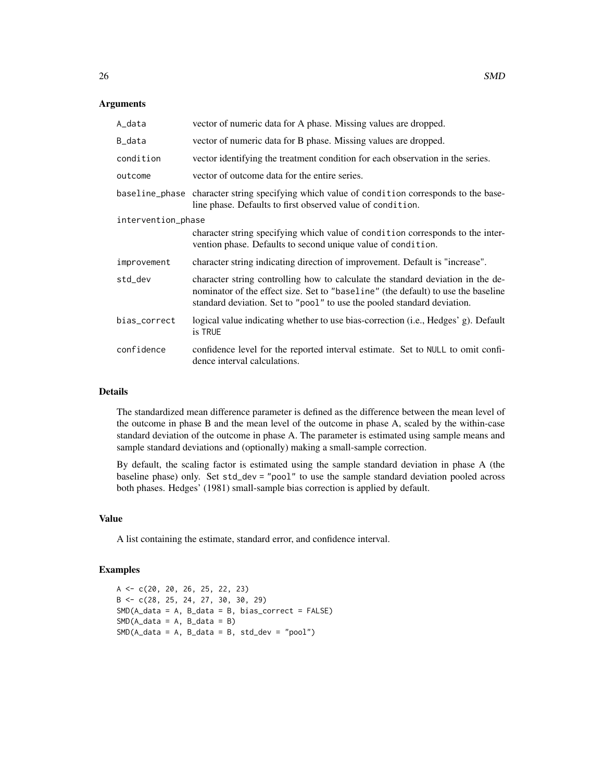# **Arguments**

| A_data             | vector of numeric data for A phase. Missing values are dropped.                                                                                                                                                                                 |
|--------------------|-------------------------------------------------------------------------------------------------------------------------------------------------------------------------------------------------------------------------------------------------|
| B_data             | vector of numeric data for B phase. Missing values are dropped.                                                                                                                                                                                 |
| condition          | vector identifying the treatment condition for each observation in the series.                                                                                                                                                                  |
| outcome            | vector of outcome data for the entire series.                                                                                                                                                                                                   |
|                    | baseline_phase character string specifying which value of condition corresponds to the base-<br>line phase. Defaults to first observed value of condition.                                                                                      |
| intervention_phase |                                                                                                                                                                                                                                                 |
|                    | character string specifying which value of condition corresponds to the inter-<br>vention phase. Defaults to second unique value of condition.                                                                                                  |
| improvement        | character string indicating direction of improvement. Default is "increase".                                                                                                                                                                    |
| std_dev            | character string controlling how to calculate the standard deviation in the de-<br>nominator of the effect size. Set to "baseline" (the default) to use the baseline<br>standard deviation. Set to "pool" to use the pooled standard deviation. |
| bias_correct       | logical value indicating whether to use bias-correction (i.e., Hedges' g). Default<br>is TRUE                                                                                                                                                   |
| confidence         | confidence level for the reported interval estimate. Set to NULL to omit confi-<br>dence interval calculations.                                                                                                                                 |

# Details

The standardized mean difference parameter is defined as the difference between the mean level of the outcome in phase B and the mean level of the outcome in phase A, scaled by the within-case standard deviation of the outcome in phase A. The parameter is estimated using sample means and sample standard deviations and (optionally) making a small-sample correction.

By default, the scaling factor is estimated using the sample standard deviation in phase A (the baseline phase) only. Set std\_dev = "pool" to use the sample standard deviation pooled across both phases. Hedges' (1981) small-sample bias correction is applied by default.

### Value

A list containing the estimate, standard error, and confidence interval.

# Examples

A <- c(20, 20, 26, 25, 22, 23) B <- c(28, 25, 24, 27, 30, 30, 29) SMD(A\_data = A, B\_data = B, bias\_correct = FALSE)  $SMD(A_data = A, B_data = B)$  $SMD(A_data = A, B_data = B, std\_dev = "pool")$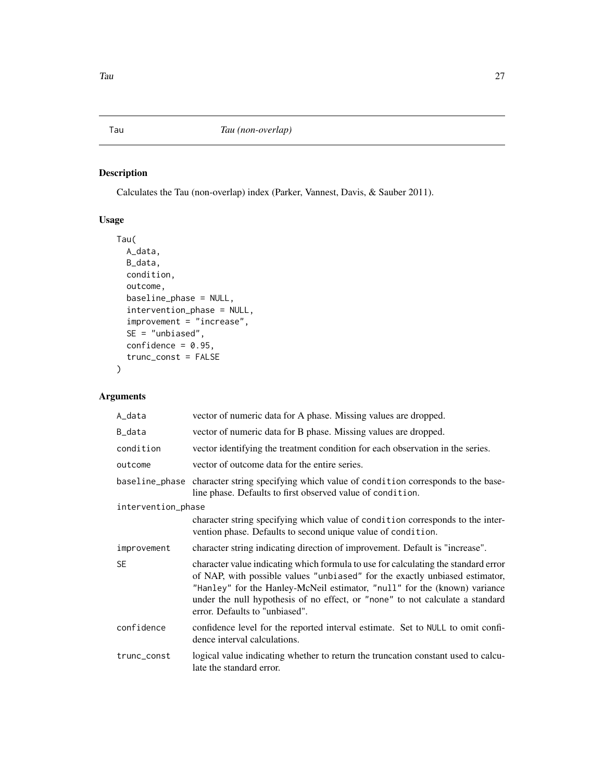# <span id="page-26-1"></span><span id="page-26-0"></span>Description

Calculates the Tau (non-overlap) index (Parker, Vannest, Davis, & Sauber 2011).

# Usage

```
Tau(
  A_data,
  B_data,
  condition,
  outcome,
  baseline_phase = NULL,
  intervention_phase = NULL,
  improvement = "increase",
  SE = "unbiased",
  confidence = 0.95,trunc_const = FALSE
)
```
# Arguments

| A_data             | vector of numeric data for A phase. Missing values are dropped.                                                                                                                                                                                                                                                                                                   |
|--------------------|-------------------------------------------------------------------------------------------------------------------------------------------------------------------------------------------------------------------------------------------------------------------------------------------------------------------------------------------------------------------|
| B_data             | vector of numeric data for B phase. Missing values are dropped.                                                                                                                                                                                                                                                                                                   |
| condition          | vector identifying the treatment condition for each observation in the series.                                                                                                                                                                                                                                                                                    |
| outcome            | vector of outcome data for the entire series.                                                                                                                                                                                                                                                                                                                     |
|                    | baseline_phase character string specifying which value of condition corresponds to the base-<br>line phase. Defaults to first observed value of condition.                                                                                                                                                                                                        |
| intervention_phase |                                                                                                                                                                                                                                                                                                                                                                   |
|                    | character string specifying which value of condition corresponds to the inter-<br>vention phase. Defaults to second unique value of condition.                                                                                                                                                                                                                    |
| improvement        | character string indicating direction of improvement. Default is "increase".                                                                                                                                                                                                                                                                                      |
| <b>SE</b>          | character value indicating which formula to use for calculating the standard error<br>of NAP, with possible values "unbiased" for the exactly unbiased estimator,<br>"Hanley" for the Hanley-McNeil estimator, "null" for the (known) variance<br>under the null hypothesis of no effect, or "none" to not calculate a standard<br>error. Defaults to "unbiased". |
| confidence         | confidence level for the reported interval estimate. Set to NULL to omit confi-<br>dence interval calculations.                                                                                                                                                                                                                                                   |
| trunc_const        | logical value indicating whether to return the truncation constant used to calcu-<br>late the standard error.                                                                                                                                                                                                                                                     |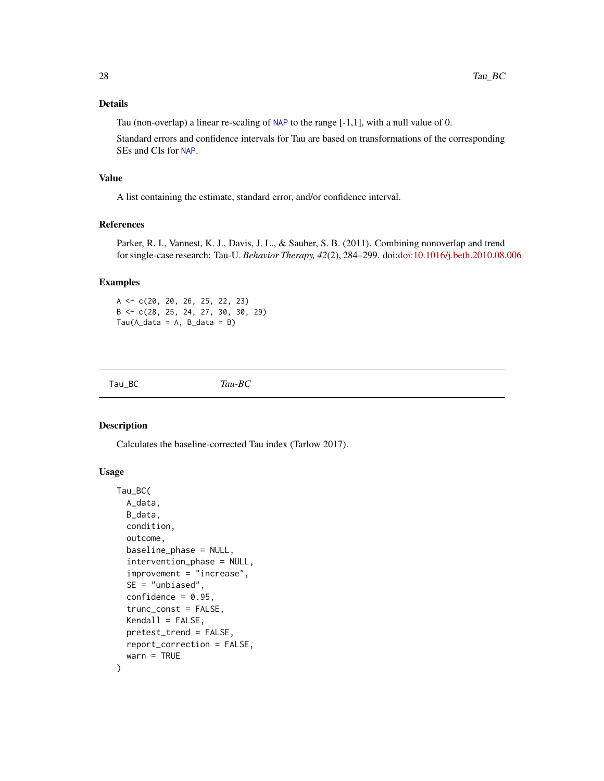# <span id="page-27-0"></span>Details

Tau (non-overlap) a linear re-scaling of [NAP](#page-15-1) to the range  $[-1,1]$ , with a null value of 0.

Standard errors and confidence intervals for Tau are based on transformations of the corresponding SEs and CIs for [NAP](#page-15-1).

# Value

A list containing the estimate, standard error, and/or confidence interval.

# References

Parker, R. I., Vannest, K. J., Davis, J. L., & Sauber, S. B. (2011). Combining nonoverlap and trend for single-case research: Tau-U. *Behavior Therapy, 42*(2), 284–299. doi[:doi:10.1016/j.beth.2010.08.006](https://doi.org/10.1016/j.beth.2010.08.006)

# Examples

A <- c(20, 20, 26, 25, 22, 23)  $B \leq C(28, 25, 24, 27, 30, 30, 29)$  $Tau(A_data = A, B_data = B)$ 

<span id="page-27-1"></span>Tau\_BC *Tau-BC*

#### Description

Calculates the baseline-corrected Tau index (Tarlow 2017).

```
Tau_BC(
  A_data,
  B_data,
  condition,
  outcome,
  baseline_phase = NULL,
  intervention_phase = NULL,
  improvement = "increase",
  SE = "unbiased",confidence = 0.95,trunc_const = FALSE,
  Kendall = FALSE,
  pretest_trend = FALSE,
  report_correction = FALSE,
  warn = TRUE
)
```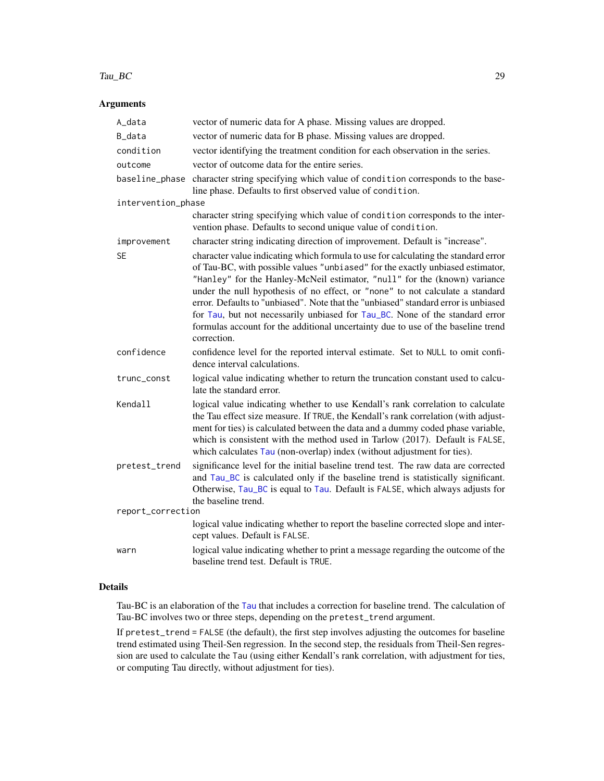#### <span id="page-28-0"></span>Tau\_BC 29

# Arguments

| A_data             | vector of numeric data for A phase. Missing values are dropped.                                                                                                                                                                                                                                                                                                                                                                                                                                                                                                                                             |
|--------------------|-------------------------------------------------------------------------------------------------------------------------------------------------------------------------------------------------------------------------------------------------------------------------------------------------------------------------------------------------------------------------------------------------------------------------------------------------------------------------------------------------------------------------------------------------------------------------------------------------------------|
| B_data             | vector of numeric data for B phase. Missing values are dropped.                                                                                                                                                                                                                                                                                                                                                                                                                                                                                                                                             |
| condition          | vector identifying the treatment condition for each observation in the series.                                                                                                                                                                                                                                                                                                                                                                                                                                                                                                                              |
| outcome            | vector of outcome data for the entire series.                                                                                                                                                                                                                                                                                                                                                                                                                                                                                                                                                               |
| baseline_phase     | character string specifying which value of condition corresponds to the base-<br>line phase. Defaults to first observed value of condition.                                                                                                                                                                                                                                                                                                                                                                                                                                                                 |
| intervention_phase |                                                                                                                                                                                                                                                                                                                                                                                                                                                                                                                                                                                                             |
|                    | character string specifying which value of condition corresponds to the inter-<br>vention phase. Defaults to second unique value of condition.                                                                                                                                                                                                                                                                                                                                                                                                                                                              |
| improvement        | character string indicating direction of improvement. Default is "increase".                                                                                                                                                                                                                                                                                                                                                                                                                                                                                                                                |
| <b>SE</b>          | character value indicating which formula to use for calculating the standard error<br>of Tau-BC, with possible values "unbiased" for the exactly unbiased estimator,<br>"Hanley" for the Hanley-McNeil estimator, "null" for the (known) variance<br>under the null hypothesis of no effect, or "none" to not calculate a standard<br>error. Defaults to "unbiased". Note that the "unbiased" standard error is unbiased<br>for Tau, but not necessarily unbiased for Tau_BC. None of the standard error<br>formulas account for the additional uncertainty due to use of the baseline trend<br>correction. |
| confidence         | confidence level for the reported interval estimate. Set to NULL to omit confi-<br>dence interval calculations.                                                                                                                                                                                                                                                                                                                                                                                                                                                                                             |
| trunc_const        | logical value indicating whether to return the truncation constant used to calcu-<br>late the standard error.                                                                                                                                                                                                                                                                                                                                                                                                                                                                                               |
| Kendall            | logical value indicating whether to use Kendall's rank correlation to calculate<br>the Tau effect size measure. If TRUE, the Kendall's rank correlation (with adjust-<br>ment for ties) is calculated between the data and a dummy coded phase variable,<br>which is consistent with the method used in Tarlow (2017). Default is FALSE,<br>which calculates Tau (non-overlap) index (without adjustment for ties).                                                                                                                                                                                         |
| pretest_trend      | significance level for the initial baseline trend test. The raw data are corrected<br>and Tau_BC is calculated only if the baseline trend is statistically significant.<br>Otherwise, Tau_BC is equal to Tau. Default is FALSE, which always adjusts for<br>the baseline trend.                                                                                                                                                                                                                                                                                                                             |
| report_correction  |                                                                                                                                                                                                                                                                                                                                                                                                                                                                                                                                                                                                             |
|                    | logical value indicating whether to report the baseline corrected slope and inter-<br>cept values. Default is FALSE.                                                                                                                                                                                                                                                                                                                                                                                                                                                                                        |
| warn               | logical value indicating whether to print a message regarding the outcome of the<br>baseline trend test. Default is TRUE.                                                                                                                                                                                                                                                                                                                                                                                                                                                                                   |

# Details

Tau-BC is an elaboration of the [Tau](#page-26-1) that includes a correction for baseline trend. The calculation of Tau-BC involves two or three steps, depending on the pretest\_trend argument.

If pretest\_trend = FALSE (the default), the first step involves adjusting the outcomes for baseline trend estimated using Theil-Sen regression. In the second step, the residuals from Theil-Sen regression are used to calculate the Tau (using either Kendall's rank correlation, with adjustment for ties, or computing Tau directly, without adjustment for ties).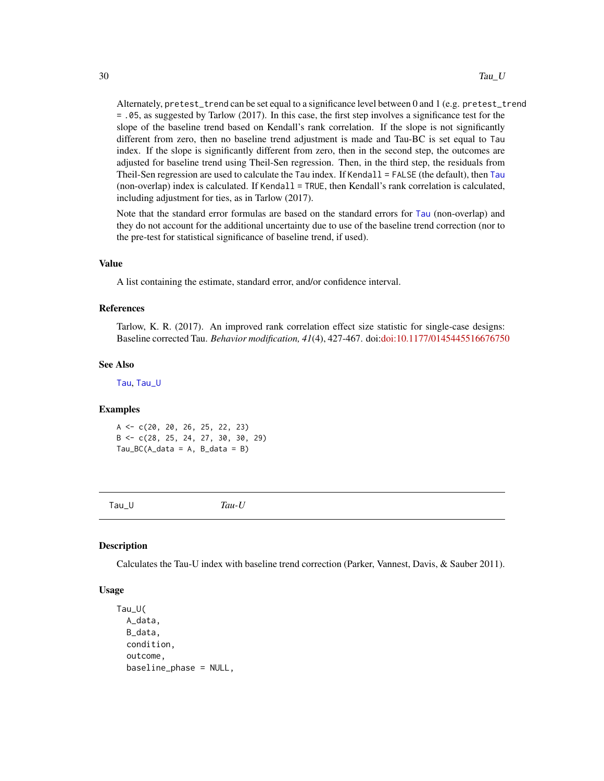<span id="page-29-0"></span>Alternately, pretest\_trend can be set equal to a significance level between 0 and 1 (e.g. pretest\_trend = .05, as suggested by Tarlow (2017). In this case, the first step involves a significance test for the slope of the baseline trend based on Kendall's rank correlation. If the slope is not significantly different from zero, then no baseline trend adjustment is made and Tau-BC is set equal to Tau index. If the slope is significantly different from zero, then in the second step, the outcomes are adjusted for baseline trend using Theil-Sen regression. Then, in the third step, the residuals from Theil-Sen regression are used to calculate the Tau index. If Kendall = FALSE (the default), then [Tau](#page-26-1) (non-overlap) index is calculated. If Kendall = TRUE, then Kendall's rank correlation is calculated, including adjustment for ties, as in Tarlow (2017).

Note that the standard error formulas are based on the standard errors for [Tau](#page-26-1) (non-overlap) and they do not account for the additional uncertainty due to use of the baseline trend correction (nor to the pre-test for statistical significance of baseline trend, if used).

#### Value

A list containing the estimate, standard error, and/or confidence interval.

#### References

Tarlow, K. R. (2017). An improved rank correlation effect size statistic for single-case designs: Baseline corrected Tau. *Behavior modification, 41*(4), 427-467. doi[:doi:10.1177/0145445516676750](https://doi.org/10.1177/0145445516676750)

#### See Also

[Tau](#page-26-1), [Tau\\_U](#page-29-1)

#### Examples

A <- c(20, 20, 26, 25, 22, 23) B <- c(28, 25, 24, 27, 30, 30, 29)  $Tau_BC(A_data = A, B_data = B)$ 

<span id="page-29-1"></span>

Tau\_U *Tau-U*

# **Description**

Calculates the Tau-U index with baseline trend correction (Parker, Vannest, Davis, & Sauber 2011).

```
Tau_U(
  A_data,
 B_data,
  condition,
  outcome,
  baseline_phase = NULL,
```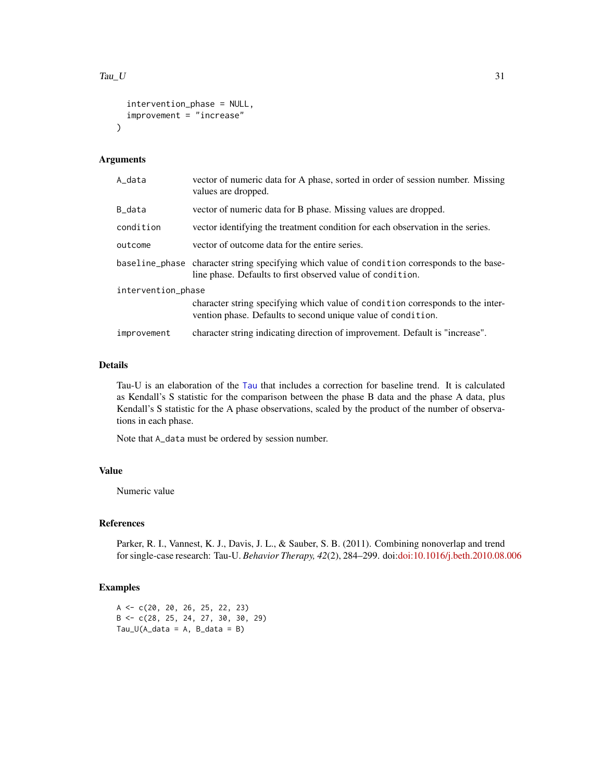```
intervention_phase = NULL,
  improvement = "increase"
\lambda
```
# Arguments

| A_data             | vector of numeric data for A phase, sorted in order of session number. Missing<br>values are dropped.                                                      |
|--------------------|------------------------------------------------------------------------------------------------------------------------------------------------------------|
| B_data             | vector of numeric data for B phase. Missing values are dropped.                                                                                            |
| condition          | vector identifying the treatment condition for each observation in the series.                                                                             |
| outcome            | vector of outcome data for the entire series.                                                                                                              |
|                    | baseline_phase character string specifying which value of condition corresponds to the base-<br>line phase. Defaults to first observed value of condition. |
| intervention_phase |                                                                                                                                                            |
|                    | character string specifying which value of condition corresponds to the inter-<br>vention phase. Defaults to second unique value of condition.             |
| improvement        | character string indicating direction of improvement. Default is "increase".                                                                               |

# Details

Tau-U is an elaboration of the [Tau](#page-26-1) that includes a correction for baseline trend. It is calculated as Kendall's S statistic for the comparison between the phase B data and the phase A data, plus Kendall's S statistic for the A phase observations, scaled by the product of the number of observations in each phase.

Note that A\_data must be ordered by session number.

# Value

Numeric value

#### References

Parker, R. I., Vannest, K. J., Davis, J. L., & Sauber, S. B. (2011). Combining nonoverlap and trend for single-case research: Tau-U. *Behavior Therapy, 42*(2), 284–299. doi[:doi:10.1016/j.beth.2010.08.006](https://doi.org/10.1016/j.beth.2010.08.006)

# Examples

A <- c(20, 20, 26, 25, 22, 23) B <- c(28, 25, 24, 27, 30, 30, 29)  $Tau_U(A_data = A, B_data = B)$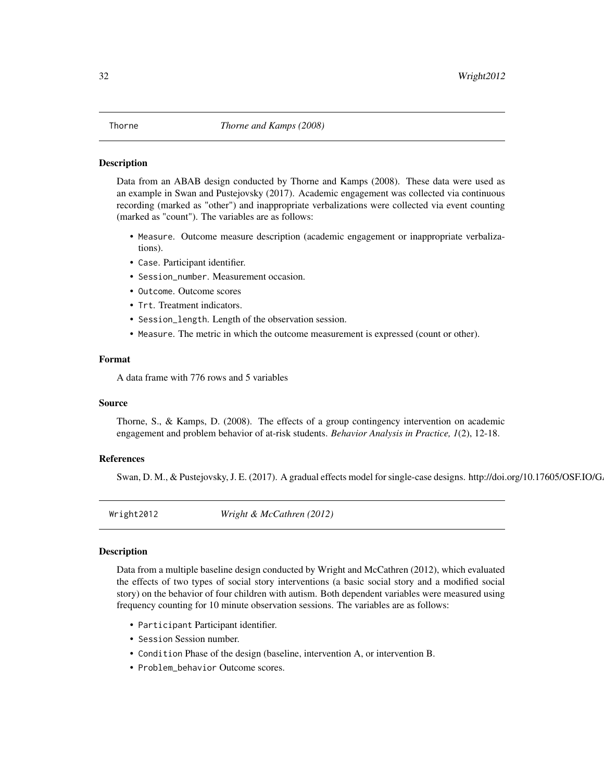#### <span id="page-31-0"></span>Description

Data from an ABAB design conducted by Thorne and Kamps (2008). These data were used as an example in Swan and Pustejovsky (2017). Academic engagement was collected via continuous recording (marked as "other") and inappropriate verbalizations were collected via event counting (marked as "count"). The variables are as follows:

- Measure. Outcome measure description (academic engagement or inappropriate verbalizations).
- Case. Participant identifier.
- Session\_number. Measurement occasion.
- Outcome. Outcome scores
- Trt. Treatment indicators.
- Session\_length. Length of the observation session.
- Measure. The metric in which the outcome measurement is expressed (count or other).

#### Format

A data frame with 776 rows and 5 variables

#### Source

Thorne, S., & Kamps, D. (2008). The effects of a group contingency intervention on academic engagement and problem behavior of at-risk students. *Behavior Analysis in Practice, 1*(2), 12-18.

# References

Swan, D. M., & Pustejovsky, J. E. (2017). A gradual effects model for single-case designs. http://doi.org/10.17605/OSF.IO/G

Wright2012 *Wright & McCathren (2012)*

# Description

Data from a multiple baseline design conducted by Wright and McCathren (2012), which evaluated the effects of two types of social story interventions (a basic social story and a modified social story) on the behavior of four children with autism. Both dependent variables were measured using frequency counting for 10 minute observation sessions. The variables are as follows:

- Participant Participant identifier.
- Session Session number.
- Condition Phase of the design (baseline, intervention A, or intervention B.
- Problem\_behavior Outcome scores.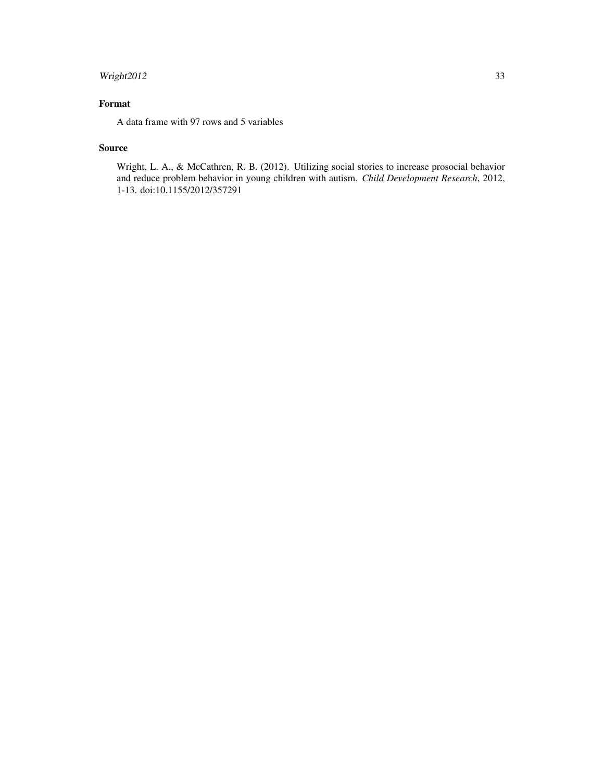# Wright2012 33

# Format

A data frame with 97 rows and 5 variables

# Source

Wright, L. A., & McCathren, R. B. (2012). Utilizing social stories to increase prosocial behavior and reduce problem behavior in young children with autism. *Child Development Research*, 2012, 1-13. doi:10.1155/2012/357291